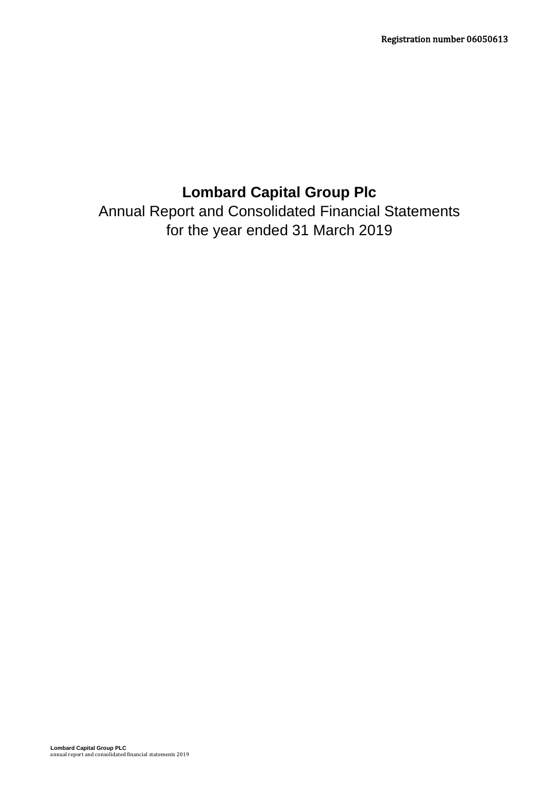# **Lombard Capital Group Plc**

Annual Report and Consolidated Financial Statements for the year ended 31 March 2019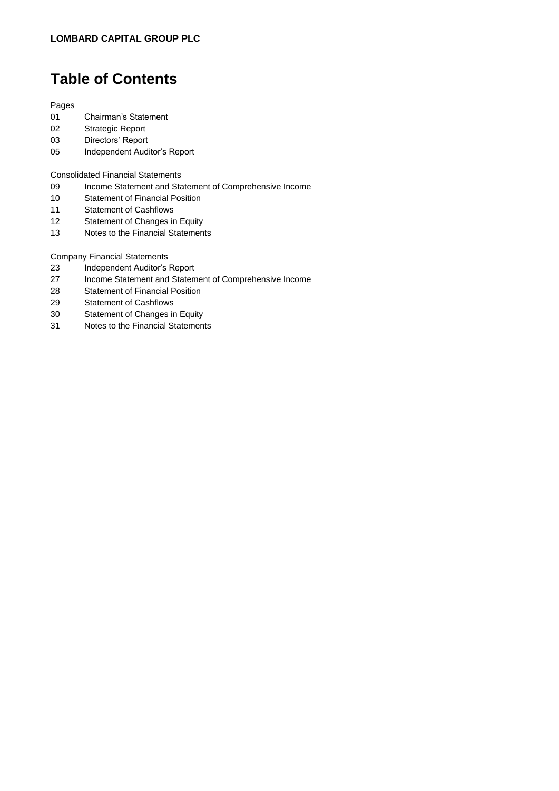# **Table of Contents**

# Pages

- Chairman's Statement
- Strategic Report
- Directors' Report
- Independent Auditor's Report

Consolidated Financial Statements

- Income Statement and Statement of Comprehensive Income
- Statement of Financial Position
- Statement of Cashflows
- Statement of Changes in Equity
- Notes to the Financial Statements

Company Financial Statements

- Independent Auditor's Report
- Income Statement and Statement of Comprehensive Income
- Statement of Financial Position
- Statement of Cashflows
- Statement of Changes in Equity
- Notes to the Financial Statements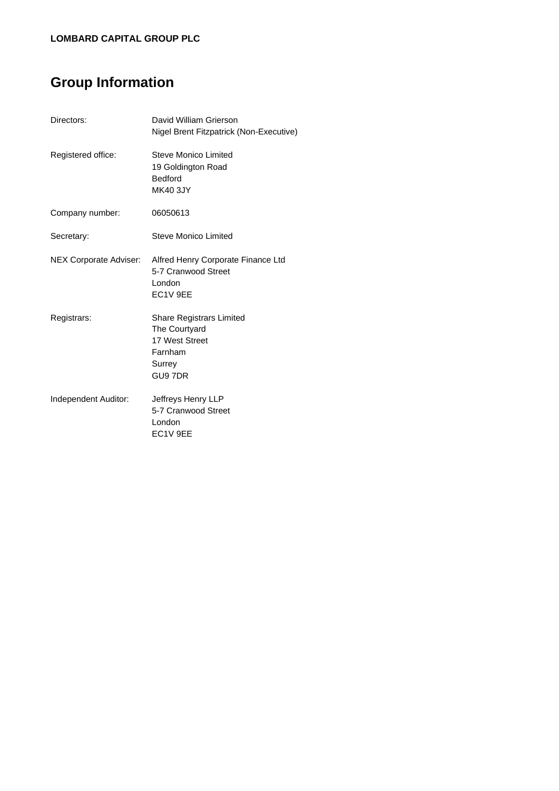# **Group Information**

| Directors:                    | David William Grierson<br>Nigel Brent Fitzpatrick (Non-Executive)                                         |
|-------------------------------|-----------------------------------------------------------------------------------------------------------|
| Registered office:            | <b>Steve Monico Limited</b><br>19 Goldington Road<br><b>Bedford</b><br><b>MK40 3JY</b>                    |
| Company number:               | 06050613                                                                                                  |
| Secretary:                    | <b>Steve Monico Limited</b>                                                                               |
| <b>NEX Corporate Adviser:</b> | Alfred Henry Corporate Finance Ltd<br>5-7 Cranwood Street<br>London<br>EC1V 9EE                           |
| Registrars:                   | <b>Share Registrars Limited</b><br><b>The Courtyard</b><br>17 West Street<br>Farnham<br>Surrey<br>GU9 7DR |
| Independent Auditor:          | Jeffreys Henry LLP<br>5-7 Cranwood Street<br>London<br>EC <sub>1V</sub> 9EE                               |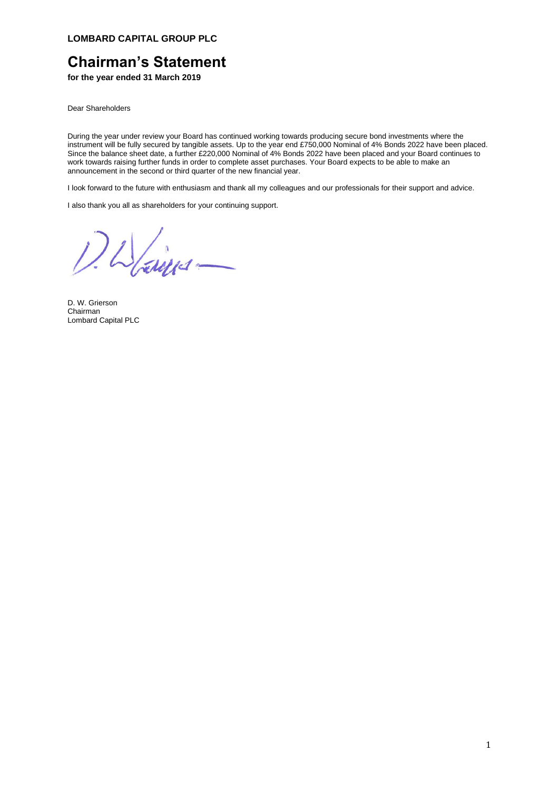# **Chairman's Statement**

**for the year ended 31 March 2019**

Dear Shareholders

During the year under review your Board has continued working towards producing secure bond investments where the instrument will be fully secured by tangible assets. Up to the year end £750,000 Nominal of 4% Bonds 2022 have been placed. Since the balance sheet date, a further £220,000 Nominal of 4% Bonds 2022 have been placed and your Board continues to work towards raising further funds in order to complete asset purchases. Your Board expects to be able to make an announcement in the second or third quarter of the new financial year.

I look forward to the future with enthusiasm and thank all my colleagues and our professionals for their support and advice.

I also thank you all as shareholders for your continuing support.

Waring

D. W. Grierson Chairman Lombard Capital PLC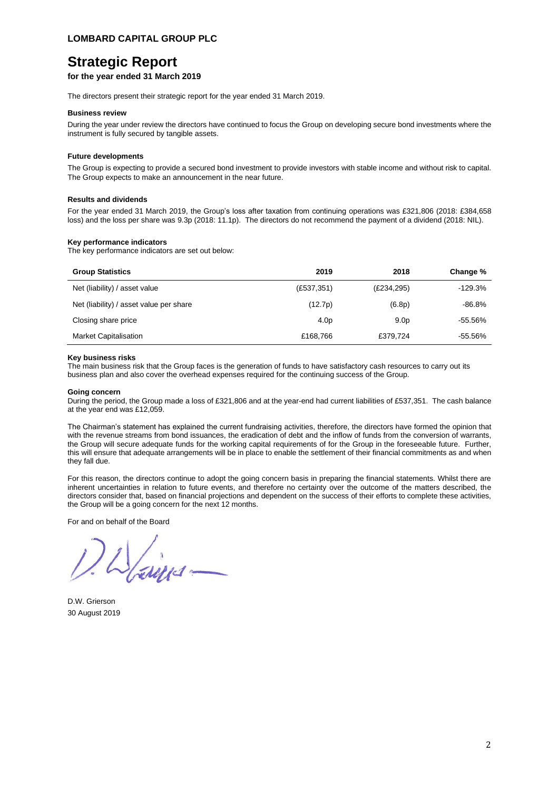# **Strategic Report**

# **for the year ended 31 March 2019**

The directors present their strategic report for the year ended 31 March 2019.

# **Business review**

During the year under review the directors have continued to focus the Group on developing secure bond investments where the instrument is fully secured by tangible assets.

### **Future developments**

The Group is expecting to provide a secured bond investment to provide investors with stable income and without risk to capital. The Group expects to make an announcement in the near future.

### **Results and dividends**

For the year ended 31 March 2019, the Group's loss after taxation from continuing operations was £321,806 (2018: £384,658 loss) and the loss per share was 9.3p (2018: 11.1p). The directors do not recommend the payment of a dividend (2018: NIL).

# **Key performance indicators**

The key performance indicators are set out below:

| <b>Group Statistics</b>                 | 2019             | 2018             | Change %   |
|-----------------------------------------|------------------|------------------|------------|
| Net (liability) / asset value           | (E537, 351)      | (E234, 295)      | $-129.3%$  |
| Net (liability) / asset value per share | (12.7p)          | (6.8p)           | $-86.8%$   |
| Closing share price                     | 4.0 <sub>D</sub> | 9.0 <sub>p</sub> | $-55.56\%$ |
| <b>Market Capitalisation</b>            | £168,766         | £379,724         | $-55.56\%$ |

#### **Key business risks**

The main business risk that the Group faces is the generation of funds to have satisfactory cash resources to carry out its business plan and also cover the overhead expenses required for the continuing success of the Group.

#### **Going concern**

During the period, the Group made a loss of £321,806 and at the year-end had current liabilities of £537,351. The cash balance at the year end was £12,059.

The Chairman's statement has explained the current fundraising activities, therefore, the directors have formed the opinion that with the revenue streams from bond issuances, the eradication of debt and the inflow of funds from the conversion of warrants, the Group will secure adequate funds for the working capital requirements of for the Group in the foreseeable future. Further, this will ensure that adequate arrangements will be in place to enable the settlement of their financial commitments as and when they fall due.

For this reason, the directors continue to adopt the going concern basis in preparing the financial statements. Whilst there are inherent uncertainties in relation to future events, and therefore no certainty over the outcome of the matters described, the directors consider that, based on financial projections and dependent on the success of their efforts to complete these activities, the Group will be a going concern for the next 12 months.

For and on behalf of the Board

ains.

D.W. Grierson 30 August 2019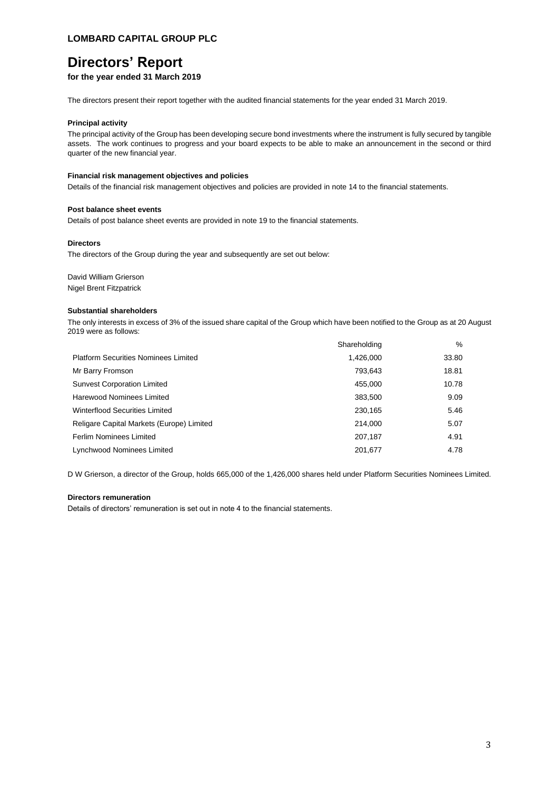# **Directors' Report**

# **for the year ended 31 March 2019**

The directors present their report together with the audited financial statements for the year ended 31 March 2019.

# **Principal activity**

The principal activity of the Group has been developing secure bond investments where the instrument is fully secured by tangible assets. The work continues to progress and your board expects to be able to make an announcement in the second or third quarter of the new financial year.

# **Financial risk management objectives and policies**

Details of the financial risk management objectives and policies are provided in note 14 to the financial statements.

# **Post balance sheet events**

Details of post balance sheet events are provided in note 19 to the financial statements.

# **Directors**

The directors of the Group during the year and subsequently are set out below:

David William Grierson Nigel Brent Fitzpatrick

#### **Substantial shareholders**

The only interests in excess of 3% of the issued share capital of the Group which have been notified to the Group as at 20 August 2019 were as follows:

|                                             | Shareholding | %     |
|---------------------------------------------|--------------|-------|
| <b>Platform Securities Nominees Limited</b> | 1,426,000    | 33.80 |
| Mr Barry Fromson                            | 793,643      | 18.81 |
| <b>Sunvest Corporation Limited</b>          | 455,000      | 10.78 |
| <b>Harewood Nominees Limited</b>            | 383,500      | 9.09  |
| Winterflood Securities Limited              | 230,165      | 5.46  |
| Religare Capital Markets (Europe) Limited   | 214,000      | 5.07  |
| <b>Ferlim Nominees Limited</b>              | 207,187      | 4.91  |
| Lynchwood Nominees Limited                  | 201,677      | 4.78  |

D W Grierson, a director of the Group, holds 665,000 of the 1,426,000 shares held under Platform Securities Nominees Limited.

# **Directors remuneration**

Details of directors' remuneration is set out in note 4 to the financial statements.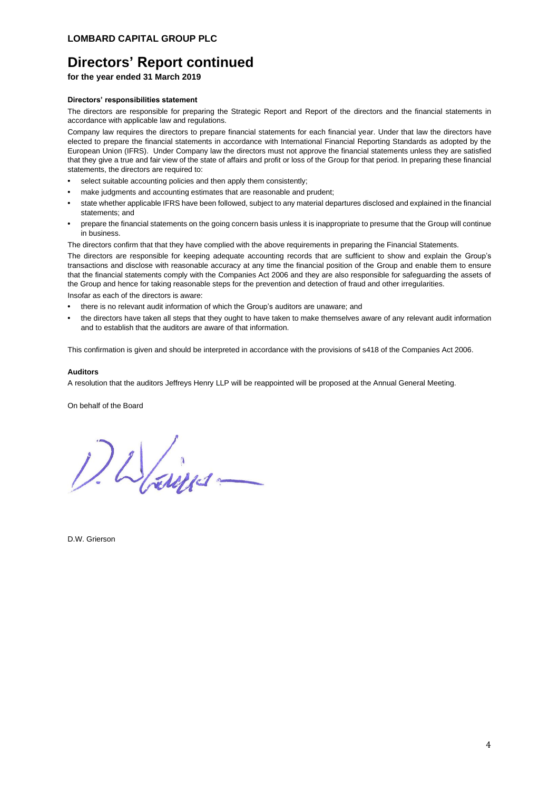# **Directors' Report continued**

**for the year ended 31 March 2019**

# **Directors' responsibilities statement**

The directors are responsible for preparing the Strategic Report and Report of the directors and the financial statements in accordance with applicable law and regulations.

Company law requires the directors to prepare financial statements for each financial year. Under that law the directors have elected to prepare the financial statements in accordance with International Financial Reporting Standards as adopted by the European Union (IFRS). Under Company law the directors must not approve the financial statements unless they are satisfied that they give a true and fair view of the state of affairs and profit or loss of the Group for that period. In preparing these financial statements, the directors are required to:

- **•** select suitable accounting policies and then apply them consistently;
- **•** make judgments and accounting estimates that are reasonable and prudent;
- **•** state whether applicable IFRS have been followed, subject to any material departures disclosed and explained in the financial statements; and
- **•** prepare the financial statements on the going concern basis unless it is inappropriate to presume that the Group will continue in business.

The directors confirm that that they have complied with the above requirements in preparing the Financial Statements.

The directors are responsible for keeping adequate accounting records that are sufficient to show and explain the Group's transactions and disclose with reasonable accuracy at any time the financial position of the Group and enable them to ensure that the financial statements comply with the Companies Act 2006 and they are also responsible for safeguarding the assets of the Group and hence for taking reasonable steps for the prevention and detection of fraud and other irregularities. Insofar as each of the directors is aware:

- **•** there is no relevant audit information of which the Group's auditors are unaware; and
- **•** the directors have taken all steps that they ought to have taken to make themselves aware of any relevant audit information and to establish that the auditors are aware of that information.

This confirmation is given and should be interpreted in accordance with the provisions of s418 of the Companies Act 2006.

# **Auditors**

A resolution that the auditors Jeffreys Henry LLP will be reappointed will be proposed at the Annual General Meeting.

On behalf of the Board

D. Whereford-

D.W. Grierson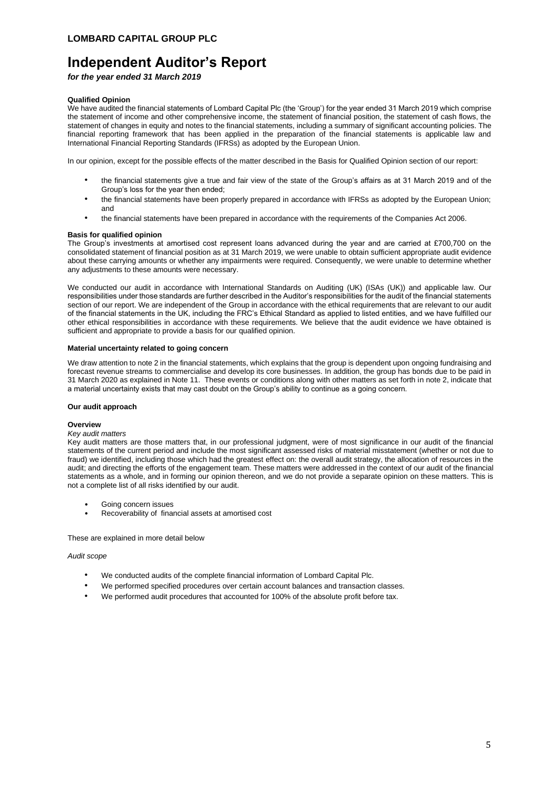*for the year ended 31 March 2019*

# **Qualified Opinion**

We have audited the financial statements of Lombard Capital Plc (the 'Group') for the year ended 31 March 2019 which comprise the statement of income and other comprehensive income, the statement of financial position, the statement of cash flows, the statement of changes in equity and notes to the financial statements, including a summary of significant accounting policies. The financial reporting framework that has been applied in the preparation of the financial statements is applicable law and International Financial Reporting Standards (IFRSs) as adopted by the European Union.

In our opinion, except for the possible effects of the matter described in the Basis for Qualified Opinion section of our report:

- the financial statements give a true and fair view of the state of the Group's affairs as at 31 March 2019 and of the Group's loss for the year then ended;
- the financial statements have been properly prepared in accordance with IFRSs as adopted by the European Union; and
- the financial statements have been prepared in accordance with the requirements of the Companies Act 2006.

#### **Basis for qualified opinion**

The Group's investments at amortised cost represent loans advanced during the year and are carried at £700,700 on the consolidated statement of financial position as at 31 March 2019, we were unable to obtain sufficient appropriate audit evidence about these carrying amounts or whether any impairments were required. Consequently, we were unable to determine whether any adjustments to these amounts were necessary.

We conducted our audit in accordance with International Standards on Auditing (UK) (ISAs (UK)) and applicable law. Our responsibilities under those standards are further described in the Auditor's responsibilities for the audit of the financial statements section of our report. We are independent of the Group in accordance with the ethical requirements that are relevant to our audit of the financial statements in the UK, including the FRC's Ethical Standard as applied to listed entities, and we have fulfilled our other ethical responsibilities in accordance with these requirements. We believe that the audit evidence we have obtained is sufficient and appropriate to provide a basis for our qualified opinion.

# **Material uncertainty related to going concern**

We draw attention to note 2 in the financial statements, which explains that the group is dependent upon ongoing fundraising and forecast revenue streams to commercialise and develop its core businesses. In addition, the group has bonds due to be paid in 31 March 2020 as explained in Note 11. These events or conditions along with other matters as set forth in note 2, indicate that a material uncertainty exists that may cast doubt on the Group's ability to continue as a going concern.

### **Our audit approach**

### **Overview**

#### *Key audit matters*

Key audit matters are those matters that, in our professional judgment, were of most significance in our audit of the financial statements of the current period and include the most significant assessed risks of material misstatement (whether or not due to fraud) we identified, including those which had the greatest effect on: the overall audit strategy, the allocation of resources in the audit; and directing the efforts of the engagement team. These matters were addressed in the context of our audit of the financial statements as a whole, and in forming our opinion thereon, and we do not provide a separate opinion on these matters. This is not a complete list of all risks identified by our audit.

- Going concern issues
- Recoverability of financial assets at amortised cost

#### These are explained in more detail below

#### *Audit scope*

- We conducted audits of the complete financial information of Lombard Capital Plc.
- We performed specified procedures over certain account balances and transaction classes.
- We performed audit procedures that accounted for 100% of the absolute profit before tax.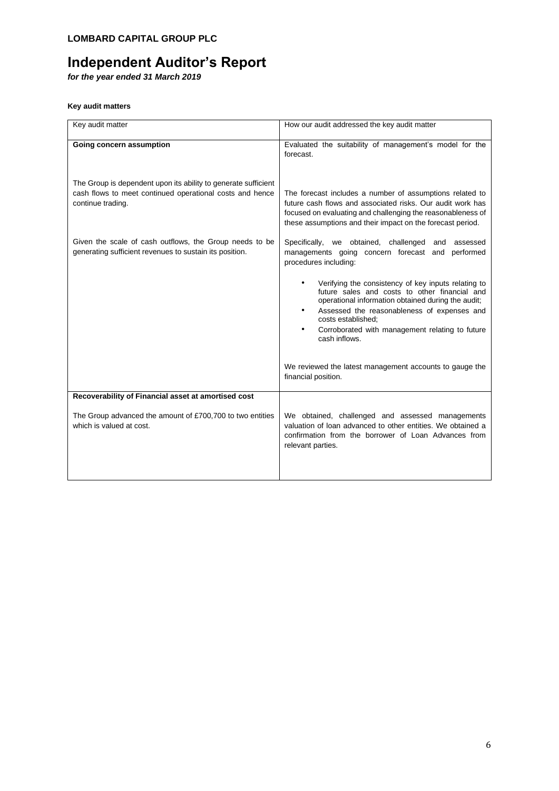*for the year ended 31 March 2019*

**Key audit matters**

| Key audit matter                                                                                                                                | How our audit addressed the key audit matter                                                                                                                                                                                                                                                             |
|-------------------------------------------------------------------------------------------------------------------------------------------------|----------------------------------------------------------------------------------------------------------------------------------------------------------------------------------------------------------------------------------------------------------------------------------------------------------|
| Going concern assumption                                                                                                                        | Evaluated the suitability of management's model for the<br>forecast.                                                                                                                                                                                                                                     |
| The Group is dependent upon its ability to generate sufficient<br>cash flows to meet continued operational costs and hence<br>continue trading. | The forecast includes a number of assumptions related to<br>future cash flows and associated risks. Our audit work has<br>focused on evaluating and challenging the reasonableness of<br>these assumptions and their impact on the forecast period.                                                      |
| Given the scale of cash outflows, the Group needs to be<br>generating sufficient revenues to sustain its position.                              | Specifically, we obtained, challenged and assessed<br>managements going concern forecast and performed<br>procedures including:                                                                                                                                                                          |
|                                                                                                                                                 | Verifying the consistency of key inputs relating to<br>future sales and costs to other financial and<br>operational information obtained during the audit;<br>Assessed the reasonableness of expenses and<br>٠<br>costs established:<br>Corroborated with management relating to future<br>cash inflows. |
|                                                                                                                                                 | We reviewed the latest management accounts to gauge the<br>financial position.                                                                                                                                                                                                                           |
| Recoverability of Financial asset at amortised cost                                                                                             |                                                                                                                                                                                                                                                                                                          |
| The Group advanced the amount of £700,700 to two entities<br>which is valued at cost.                                                           | We obtained, challenged and assessed managements<br>valuation of loan advanced to other entities. We obtained a<br>confirmation from the borrower of Loan Advances from<br>relevant parties.                                                                                                             |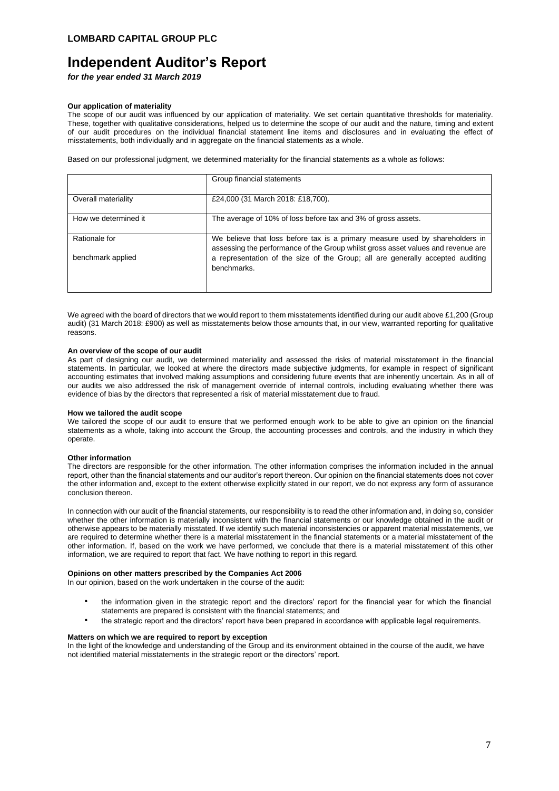*for the year ended 31 March 2019*

# **Our application of materiality**

The scope of our audit was influenced by our application of materiality. We set certain quantitative thresholds for materiality. These, together with qualitative considerations, helped us to determine the scope of our audit and the nature, timing and extent of our audit procedures on the individual financial statement line items and disclosures and in evaluating the effect of misstatements, both individually and in aggregate on the financial statements as a whole.

Based on our professional judgment, we determined materiality for the financial statements as a whole as follows:

|                      | Group financial statements                                                                                                                                       |
|----------------------|------------------------------------------------------------------------------------------------------------------------------------------------------------------|
| Overall materiality  | £24,000 (31 March 2018: £18,700).                                                                                                                                |
| How we determined it | The average of 10% of loss before tax and 3% of gross assets.                                                                                                    |
| Rationale for        | We believe that loss before tax is a primary measure used by shareholders in<br>assessing the performance of the Group whilst gross asset values and revenue are |
| benchmark applied    | a representation of the size of the Group; all are generally accepted auditing<br>benchmarks.                                                                    |

We agreed with the board of directors that we would report to them misstatements identified during our audit above £1,200 (Group audit) (31 March 2018: £900) as well as misstatements below those amounts that, in our view, warranted reporting for qualitative reasons.

#### **An overview of the scope of our audit**

As part of designing our audit, we determined materiality and assessed the risks of material misstatement in the financial statements. In particular, we looked at where the directors made subjective judgments, for example in respect of significant accounting estimates that involved making assumptions and considering future events that are inherently uncertain. As in all of our audits we also addressed the risk of management override of internal controls, including evaluating whether there was evidence of bias by the directors that represented a risk of material misstatement due to fraud.

#### **How we tailored the audit scope**

We tailored the scope of our audit to ensure that we performed enough work to be able to give an opinion on the financial statements as a whole, taking into account the Group, the accounting processes and controls, and the industry in which they operate.

#### **Other information**

The directors are responsible for the other information. The other information comprises the information included in the annual report, other than the financial statements and our auditor's report thereon. Our opinion on the financial statements does not cover the other information and, except to the extent otherwise explicitly stated in our report, we do not express any form of assurance conclusion thereon.

In connection with our audit of the financial statements, our responsibility is to read the other information and, in doing so, consider whether the other information is materially inconsistent with the financial statements or our knowledge obtained in the audit or otherwise appears to be materially misstated. If we identify such material inconsistencies or apparent material misstatements, we are required to determine whether there is a material misstatement in the financial statements or a material misstatement of the other information. If, based on the work we have performed, we conclude that there is a material misstatement of this other information, we are required to report that fact. We have nothing to report in this regard.

### **Opinions on other matters prescribed by the Companies Act 2006**

In our opinion, based on the work undertaken in the course of the audit:

- the information given in the strategic report and the directors' report for the financial year for which the financial statements are prepared is consistent with the financial statements; and
- the strategic report and the directors' report have been prepared in accordance with applicable legal requirements.

#### **Matters on which we are required to report by exception**

In the light of the knowledge and understanding of the Group and its environment obtained in the course of the audit, we have not identified material misstatements in the strategic report or the directors' report.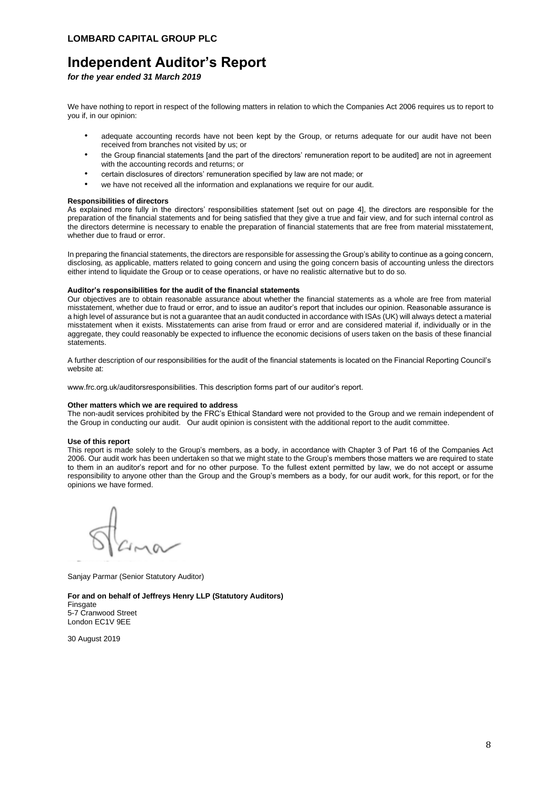*for the year ended 31 March 2019*

We have nothing to report in respect of the following matters in relation to which the Companies Act 2006 requires us to report to you if, in our opinion:

- adequate accounting records have not been kept by the Group, or returns adequate for our audit have not been received from branches not visited by us; or
- the Group financial statements [and the part of the directors' remuneration report to be audited] are not in agreement with the accounting records and returns; or
- certain disclosures of directors' remuneration specified by law are not made; or
- we have not received all the information and explanations we require for our audit.

### **Responsibilities of directors**

As explained more fully in the directors' responsibilities statement [set out on page 4], the directors are responsible for the preparation of the financial statements and for being satisfied that they give a true and fair view, and for such internal control as the directors determine is necessary to enable the preparation of financial statements that are free from material misstatement, whether due to fraud or error.

In preparing the financial statements, the directors are responsible for assessing the Group's ability to continue as a going concern, disclosing, as applicable, matters related to going concern and using the going concern basis of accounting unless the directors either intend to liquidate the Group or to cease operations, or have no realistic alternative but to do so.

#### **Auditor's responsibilities for the audit of the financial statements**

Our objectives are to obtain reasonable assurance about whether the financial statements as a whole are free from material misstatement, whether due to fraud or error, and to issue an auditor's report that includes our opinion. Reasonable assurance is a high level of assurance but is not a guarantee that an audit conducted in accordance with ISAs (UK) will always detect a material misstatement when it exists. Misstatements can arise from fraud or error and are considered material if, individually or in the aggregate, they could reasonably be expected to influence the economic decisions of users taken on the basis of these financial statements.

A further description of our responsibilities for the audit of the financial statements is located on the Financial Reporting Council's website at:

www.frc.org.uk/auditorsresponsibilities. This description forms part of our auditor's report.

### **Other matters which we are required to address**

The non-audit services prohibited by the FRC's Ethical Standard were not provided to the Group and we remain independent of the Group in conducting our audit. Our audit opinion is consistent with the additional report to the audit committee.

#### **Use of this report**

This report is made solely to the Group's members, as a body, in accordance with Chapter 3 of Part 16 of the Companies Act 2006. Our audit work has been undertaken so that we might state to the Group's members those matters we are required to state to them in an auditor's report and for no other purpose. To the fullest extent permitted by law, we do not accept or assume responsibility to anyone other than the Group and the Group's members as a body, for our audit work, for this report, or for the opinions we have formed.

Sanjay Parmar (Senior Statutory Auditor)

**For and on behalf of Jeffreys Henry LLP (Statutory Auditors)** Finsgate 5-7 Cranwood Street London EC1V 9EE

30 August 2019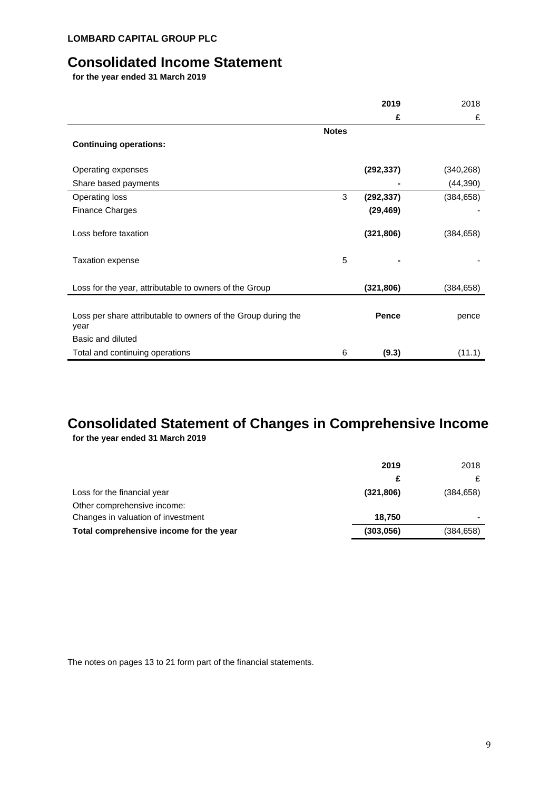# **Consolidated Income Statement**

**for the year ended 31 March 2019**

|                                                                       |              | 2019         | 2018       |
|-----------------------------------------------------------------------|--------------|--------------|------------|
|                                                                       |              | £            | £          |
|                                                                       | <b>Notes</b> |              |            |
| <b>Continuing operations:</b>                                         |              |              |            |
|                                                                       |              |              |            |
| Operating expenses                                                    |              | (292, 337)   | (340, 268) |
| Share based payments                                                  |              |              | (44, 390)  |
| Operating loss                                                        | 3            | (292, 337)   | (384, 658) |
| <b>Finance Charges</b>                                                |              | (29, 469)    |            |
|                                                                       |              |              |            |
| Loss before taxation                                                  |              | (321, 806)   | (384, 658) |
|                                                                       |              |              |            |
| Taxation expense                                                      | 5            |              |            |
|                                                                       |              |              |            |
| Loss for the year, attributable to owners of the Group                |              | (321, 806)   | (384,658)  |
|                                                                       |              |              |            |
| Loss per share attributable to owners of the Group during the<br>year |              | <b>Pence</b> | pence      |
| Basic and diluted                                                     |              |              |            |
| Total and continuing operations                                       | 6            | (9.3)        | (11.1)     |

# **Consolidated Statement of Changes in Comprehensive Income**

**for the year ended 31 March 2019**

|                                         | 2019       | 2018      |
|-----------------------------------------|------------|-----------|
|                                         |            |           |
| Loss for the financial year             | (321, 806) | (384.658) |
| Other comprehensive income:             |            |           |
| Changes in valuation of investment      | 18.750     |           |
| Total comprehensive income for the year | (303,056)  | (384,658) |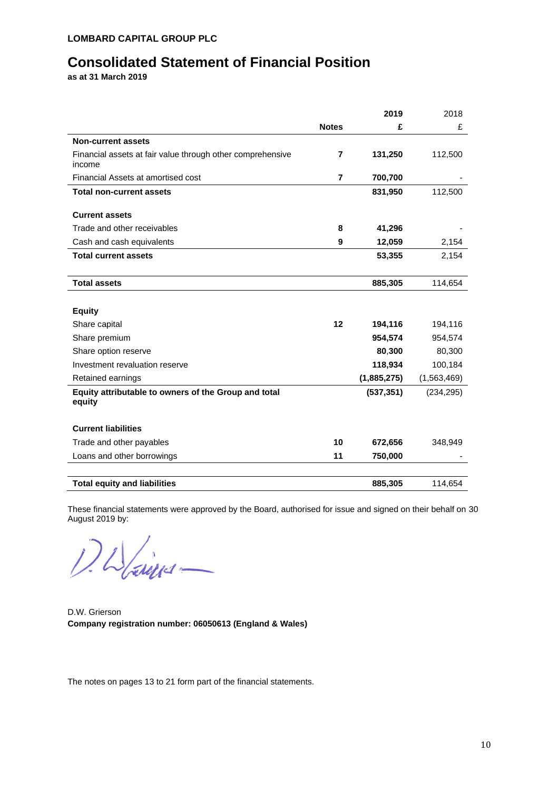# **Consolidated Statement of Financial Position**

**as at 31 March 2019**

|                                                                      |                | 2019        | 2018        |
|----------------------------------------------------------------------|----------------|-------------|-------------|
|                                                                      | <b>Notes</b>   | £           | £           |
| <b>Non-current assets</b>                                            |                |             |             |
| Financial assets at fair value through other comprehensive<br>income | 7              | 131,250     | 112,500     |
| Financial Assets at amortised cost                                   | $\overline{7}$ | 700,700     |             |
| <b>Total non-current assets</b>                                      |                | 831,950     | 112,500     |
|                                                                      |                |             |             |
| <b>Current assets</b>                                                |                |             |             |
| Trade and other receivables                                          | 8              | 41,296      |             |
| Cash and cash equivalents                                            | 9              | 12,059      | 2,154       |
| <b>Total current assets</b>                                          |                | 53,355      | 2,154       |
|                                                                      |                |             |             |
| <b>Total assets</b>                                                  |                | 885,305     | 114,654     |
|                                                                      |                |             |             |
| <b>Equity</b>                                                        |                |             |             |
| Share capital                                                        | 12             | 194,116     | 194,116     |
| Share premium                                                        |                | 954,574     | 954,574     |
| Share option reserve                                                 |                | 80,300      | 80,300      |
| Investment revaluation reserve                                       |                | 118,934     | 100,184     |
| Retained earnings                                                    |                | (1,885,275) | (1,563,469) |
| Equity attributable to owners of the Group and total<br>equity       |                | (537, 351)  | (234, 295)  |
|                                                                      |                |             |             |
| <b>Current liabilities</b>                                           |                |             |             |
| Trade and other payables                                             | 10             | 672,656     | 348,949     |
| Loans and other borrowings                                           | 11             | 750,000     |             |
|                                                                      |                |             |             |
| <b>Total equity and liabilities</b>                                  |                | 885,305     | 114,654     |

These financial statements were approved by the Board, authorised for issue and signed on their behalf on 30 August 2019 by:

*Lique* 

D.W. Grierson **Company registration number: 06050613 (England & Wales)**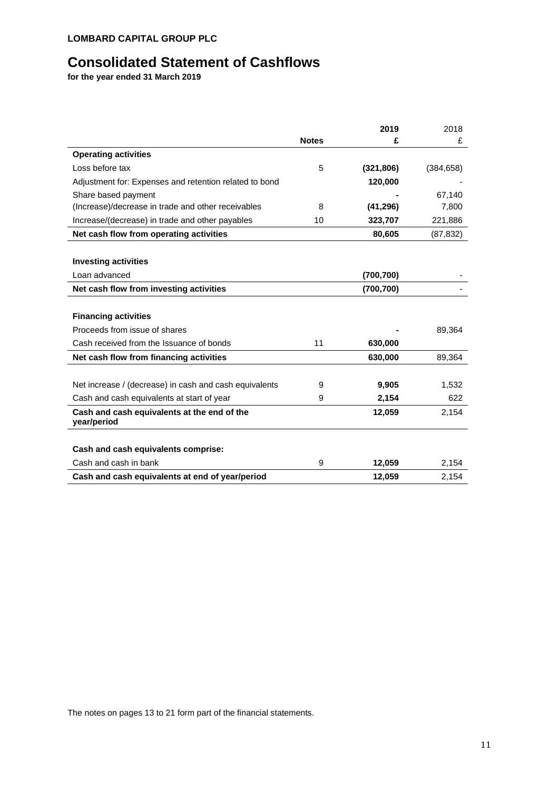# **Consolidated Statement of Cashflows**

**for the year ended 31 March 2019**

|                                                            |              | 2019       | 2018       |
|------------------------------------------------------------|--------------|------------|------------|
|                                                            | <b>Notes</b> | £          | £          |
| <b>Operating activities</b>                                |              |            |            |
| Loss before tax                                            | 5            | (321, 806) | (384, 658) |
| Adjustment for: Expenses and retention related to bond     |              | 120,000    |            |
| Share based payment                                        |              |            | 67,140     |
| (Increase)/decrease in trade and other receivables         | 8            | (41, 296)  | 7,800      |
| Increase/(decrease) in trade and other payables            | 10           | 323,707    | 221,886    |
| Net cash flow from operating activities                    |              | 80,605     | (87, 832)  |
|                                                            |              |            |            |
| <b>Investing activities</b>                                |              |            |            |
| Loan advanced                                              |              | (700, 700) |            |
| Net cash flow from investing activities                    |              | (700, 700) |            |
|                                                            |              |            |            |
| <b>Financing activities</b>                                |              |            |            |
| Proceeds from issue of shares                              |              |            | 89,364     |
| Cash received from the Issuance of bonds                   | 11           | 630,000    |            |
| Net cash flow from financing activities                    |              | 630,000    | 89,364     |
|                                                            |              |            |            |
| Net increase / (decrease) in cash and cash equivalents     | 9            | 9,905      | 1,532      |
| Cash and cash equivalents at start of year                 | 9            | 2,154      | 622        |
| Cash and cash equivalents at the end of the<br>year/period |              | 12,059     | 2,154      |
|                                                            |              |            |            |
| Cash and cash equivalents comprise:                        |              |            |            |
| Cash and cash in bank                                      | 9            | 12,059     | 2,154      |
| Cash and cash equivalents at end of year/period            |              | 12,059     | 2,154      |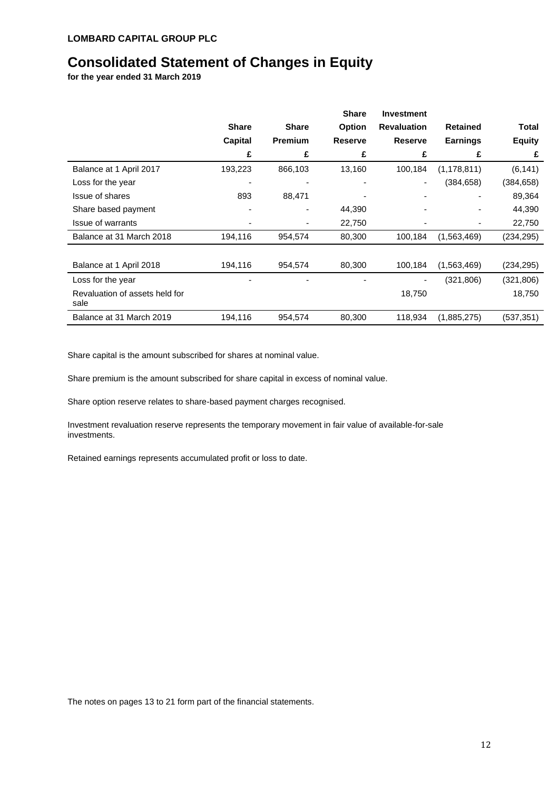# **Consolidated Statement of Changes in Equity**

**for the year ended 31 March 2019**

|                                        |              |                | <b>Share</b>   | <b>Investment</b>  |                          |               |
|----------------------------------------|--------------|----------------|----------------|--------------------|--------------------------|---------------|
|                                        | <b>Share</b> | <b>Share</b>   | <b>Option</b>  | <b>Revaluation</b> | <b>Retained</b>          | Total         |
|                                        | Capital      | <b>Premium</b> | <b>Reserve</b> | <b>Reserve</b>     | <b>Earnings</b>          | <b>Equity</b> |
|                                        | £            | £              | £              | £                  | £                        | £             |
| Balance at 1 April 2017                | 193,223      | 866,103        | 13,160         | 100,184            | (1, 178, 811)            | (6, 141)      |
| Loss for the year                      |              |                |                | ٠                  | (384, 658)               | (384,658)     |
| Issue of shares                        | 893          | 88,471         |                |                    | $\overline{\phantom{0}}$ | 89,364        |
| Share based payment                    |              |                | 44,390         |                    | ٠                        | 44,390        |
| Issue of warrants                      |              |                | 22,750         |                    | $\overline{\phantom{0}}$ | 22,750        |
| Balance at 31 March 2018               | 194,116      | 954,574        | 80,300         | 100,184            | (1,563,469)              | (234,295)     |
|                                        |              |                |                |                    |                          |               |
| Balance at 1 April 2018                | 194,116      | 954,574        | 80,300         | 100,184            | (1,563,469)              | (234,295)     |
| Loss for the year                      |              |                |                |                    | (321, 806)               | (321,806)     |
| Revaluation of assets held for<br>sale |              |                |                | 18,750             |                          | 18,750        |
| Balance at 31 March 2019               | 194,116      | 954,574        | 80,300         | 118,934            | (1,885,275)              | (537,351)     |

Share capital is the amount subscribed for shares at nominal value.

Share premium is the amount subscribed for share capital in excess of nominal value.

Share option reserve relates to share-based payment charges recognised.

Investment revaluation reserve represents the temporary movement in fair value of available-for-sale investments.

Retained earnings represents accumulated profit or loss to date.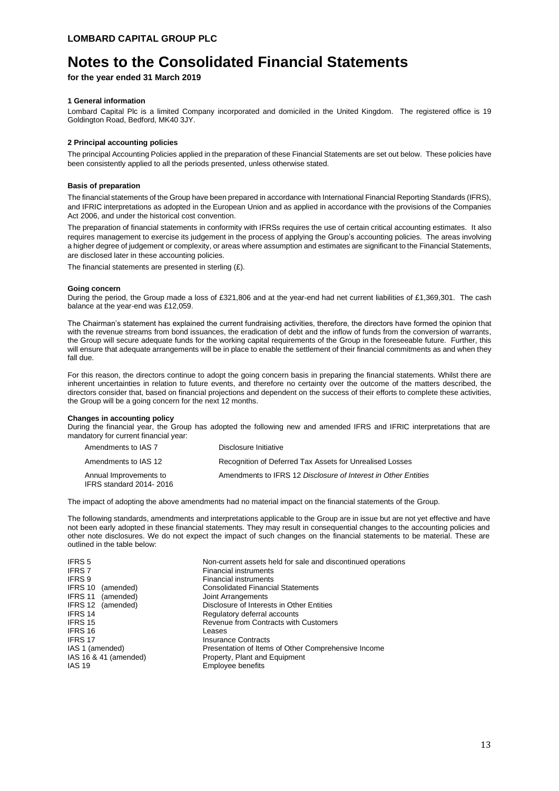**for the year ended 31 March 2019**

# **1 General information**

Lombard Capital Plc is a limited Company incorporated and domiciled in the United Kingdom. The registered office is 19 Goldington Road, Bedford, MK40 3JY.

# **2 Principal accounting policies**

The principal Accounting Policies applied in the preparation of these Financial Statements are set out below. These policies have been consistently applied to all the periods presented, unless otherwise stated.

### **Basis of preparation**

The financial statements of the Group have been prepared in accordance with International Financial Reporting Standards (IFRS), and IFRIC interpretations as adopted in the European Union and as applied in accordance with the provisions of the Companies Act 2006, and under the historical cost convention.

The preparation of financial statements in conformity with IFRSs requires the use of certain critical accounting estimates. It also requires management to exercise its judgement in the process of applying the Group's accounting policies. The areas involving a higher degree of judgement or complexity, or areas where assumption and estimates are significant to the Financial Statements, are disclosed later in these accounting policies.

The financial statements are presented in sterling  $(E)$ .

# **Going concern**

During the period, the Group made a loss of £321,806 and at the year-end had net current liabilities of £1,369,301. The cash balance at the year-end was £12,059.

The Chairman's statement has explained the current fundraising activities, therefore, the directors have formed the opinion that with the revenue streams from bond issuances, the eradication of debt and the inflow of funds from the conversion of warrants, the Group will secure adequate funds for the working capital requirements of the Group in the foreseeable future. Further, this will ensure that adequate arrangements will be in place to enable the settlement of their financial commitments as and when they fall due.

For this reason, the directors continue to adopt the going concern basis in preparing the financial statements. Whilst there are inherent uncertainties in relation to future events, and therefore no certainty over the outcome of the matters described, the directors consider that, based on financial projections and dependent on the success of their efforts to complete these activities, the Group will be a going concern for the next 12 months.

#### **Changes in accounting policy**

During the financial year, the Group has adopted the following new and amended IFRS and IFRIC interpretations that are mandatory for current financial year:

| Amendments to IAS 7                               | Disclosure Initiative                                          |
|---------------------------------------------------|----------------------------------------------------------------|
| Amendments to IAS 12                              | Recognition of Deferred Tax Assets for Unrealised Losses       |
| Annual Improvements to<br>IFRS standard 2014-2016 | Amendments to IFRS 12 Disclosure of Interest in Other Entities |

The impact of adopting the above amendments had no material impact on the financial statements of the Group.

The following standards, amendments and interpretations applicable to the Group are in issue but are not yet effective and have not been early adopted in these financial statements. They may result in consequential changes to the accounting policies and other note disclosures. We do not expect the impact of such changes on the financial statements to be material. These are outlined in the table below:

| IFRS <sub>5</sub>     | Non-current assets held for sale and discontinued operations |
|-----------------------|--------------------------------------------------------------|
| <b>IFRS7</b>          | <b>Financial instruments</b>                                 |
| IFRS 9                | <b>Financial instruments</b>                                 |
| IFRS 10<br>(amended)  | <b>Consolidated Financial Statements</b>                     |
| IFRS 11<br>(amended)  | Joint Arrangements                                           |
| IFRS 12 (amended)     | Disclosure of Interests in Other Entities                    |
| <b>IFRS 14</b>        | Regulatory deferral accounts                                 |
| IFRS 15               | Revenue from Contracts with Customers                        |
| IFRS 16               | Leases                                                       |
| IFRS 17               | Insurance Contracts                                          |
| IAS 1 (amended)       | Presentation of Items of Other Comprehensive Income          |
| IAS 16 & 41 (amended) | Property, Plant and Equipment                                |
| <b>IAS 19</b>         | Employee benefits                                            |
|                       |                                                              |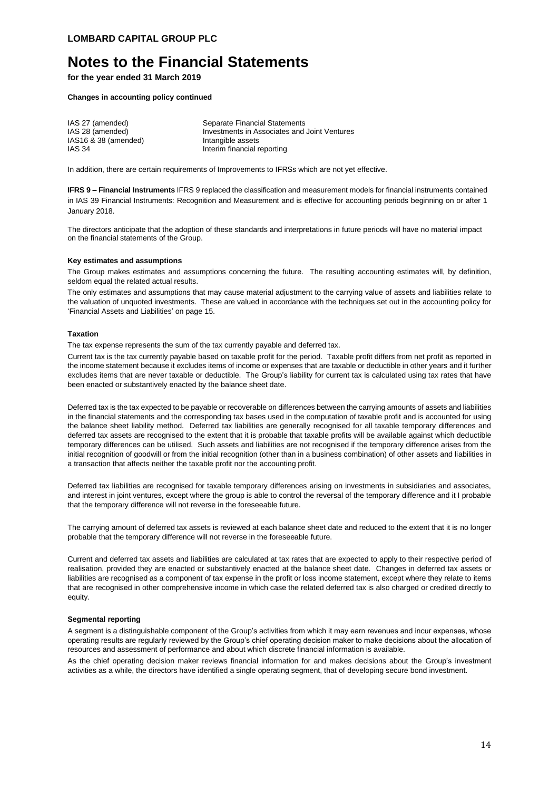**for the year ended 31 March 2019**

**Changes in accounting policy continued**

| Separate Financial Statements                |
|----------------------------------------------|
| Investments in Associates and Joint Ventures |
| Intangible assets                            |
| Interim financial reporting                  |
|                                              |

In addition, there are certain requirements of Improvements to IFRSs which are not yet effective.

**IFRS 9 – Financial Instruments** IFRS 9 replaced the classification and measurement models for financial instruments contained in IAS 39 Financial Instruments: Recognition and Measurement and is effective for accounting periods beginning on or after 1 January 2018.

The directors anticipate that the adoption of these standards and interpretations in future periods will have no material impact on the financial statements of the Group.

# **Key estimates and assumptions**

The Group makes estimates and assumptions concerning the future. The resulting accounting estimates will, by definition, seldom equal the related actual results.

The only estimates and assumptions that may cause material adjustment to the carrying value of assets and liabilities relate to the valuation of unquoted investments. These are valued in accordance with the techniques set out in the accounting policy for 'Financial Assets and Liabilities' on page 15.

# **Taxation**

The tax expense represents the sum of the tax currently payable and deferred tax.

Current tax is the tax currently payable based on taxable profit for the period. Taxable profit differs from net profit as reported in the income statement because it excludes items of income or expenses that are taxable or deductible in other years and it further excludes items that are never taxable or deductible. The Group's liability for current tax is calculated using tax rates that have been enacted or substantively enacted by the balance sheet date.

Deferred tax is the tax expected to be payable or recoverable on differences between the carrying amounts of assets and liabilities in the financial statements and the corresponding tax bases used in the computation of taxable profit and is accounted for using the balance sheet liability method. Deferred tax liabilities are generally recognised for all taxable temporary differences and deferred tax assets are recognised to the extent that it is probable that taxable profits will be available against which deductible temporary differences can be utilised. Such assets and liabilities are not recognised if the temporary difference arises from the initial recognition of goodwill or from the initial recognition (other than in a business combination) of other assets and liabilities in a transaction that affects neither the taxable profit nor the accounting profit.

Deferred tax liabilities are recognised for taxable temporary differences arising on investments in subsidiaries and associates, and interest in joint ventures, except where the group is able to control the reversal of the temporary difference and it I probable that the temporary difference will not reverse in the foreseeable future.

The carrying amount of deferred tax assets is reviewed at each balance sheet date and reduced to the extent that it is no longer probable that the temporary difference will not reverse in the foreseeable future.

Current and deferred tax assets and liabilities are calculated at tax rates that are expected to apply to their respective period of realisation, provided they are enacted or substantively enacted at the balance sheet date. Changes in deferred tax assets or liabilities are recognised as a component of tax expense in the profit or loss income statement, except where they relate to items that are recognised in other comprehensive income in which case the related deferred tax is also charged or credited directly to equity.

#### **Segmental reporting**

A segment is a distinguishable component of the Group's activities from which it may earn revenues and incur expenses, whose operating results are regularly reviewed by the Group's chief operating decision maker to make decisions about the allocation of resources and assessment of performance and about which discrete financial information is available.

As the chief operating decision maker reviews financial information for and makes decisions about the Group's investment activities as a while, the directors have identified a single operating segment, that of developing secure bond investment.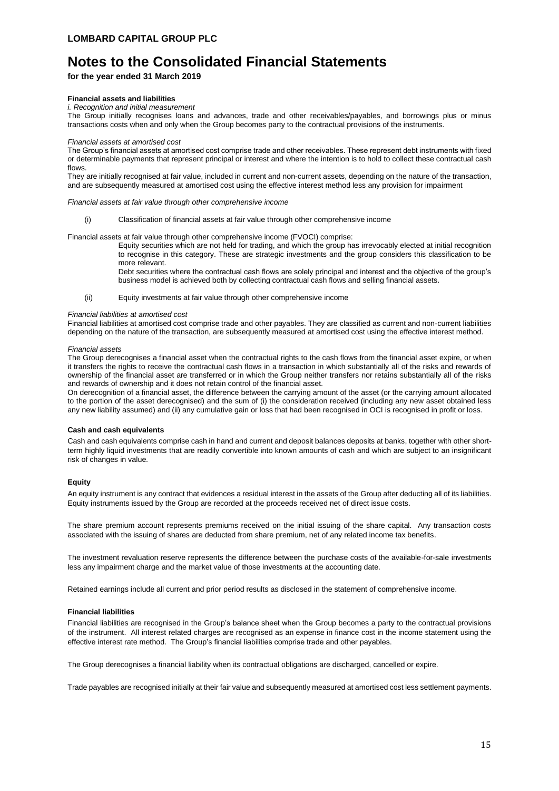**for the year ended 31 March 2019**

# **Financial assets and liabilities**

*i. Recognition and initial measurement*

The Group initially recognises loans and advances, trade and other receivables/payables, and borrowings plus or minus transactions costs when and only when the Group becomes party to the contractual provisions of the instruments.

#### *Financial assets at amortised cost*

The Group's financial assets at amortised cost comprise trade and other receivables. These represent debt instruments with fixed or determinable payments that represent principal or interest and where the intention is to hold to collect these contractual cash flows.

They are initially recognised at fair value, included in current and non-current assets, depending on the nature of the transaction, and are subsequently measured at amortised cost using the effective interest method less any provision for impairment

*Financial assets at fair value through other comprehensive income*

(i) Classification of financial assets at fair value through other comprehensive income

Financial assets at fair value through other comprehensive income (FVOCI) comprise:

Equity securities which are not held for trading, and which the group has irrevocably elected at initial recognition to recognise in this category. These are strategic investments and the group considers this classification to be more relevant.

Debt securities where the contractual cash flows are solely principal and interest and the objective of the group's business model is achieved both by collecting contractual cash flows and selling financial assets.

(ii) Equity investments at fair value through other comprehensive income

#### *Financial liabilities at amortised cost*

Financial liabilities at amortised cost comprise trade and other payables. They are classified as current and non-current liabilities depending on the nature of the transaction, are subsequently measured at amortised cost using the effective interest method.

#### *Financial assets*

The Group derecognises a financial asset when the contractual rights to the cash flows from the financial asset expire, or when it transfers the rights to receive the contractual cash flows in a transaction in which substantially all of the risks and rewards of ownership of the financial asset are transferred or in which the Group neither transfers nor retains substantially all of the risks and rewards of ownership and it does not retain control of the financial asset.

On derecognition of a financial asset, the difference between the carrying amount of the asset (or the carrying amount allocated to the portion of the asset derecognised) and the sum of (i) the consideration received (including any new asset obtained less any new liability assumed) and (ii) any cumulative gain or loss that had been recognised in OCI is recognised in profit or loss.

### **Cash and cash equivalents**

Cash and cash equivalents comprise cash in hand and current and deposit balances deposits at banks, together with other shortterm highly liquid investments that are readily convertible into known amounts of cash and which are subject to an insignificant risk of changes in value.

#### **Equity**

An equity instrument is any contract that evidences a residual interest in the assets of the Group after deducting all of its liabilities. Equity instruments issued by the Group are recorded at the proceeds received net of direct issue costs.

The share premium account represents premiums received on the initial issuing of the share capital. Any transaction costs associated with the issuing of shares are deducted from share premium, net of any related income tax benefits.

The investment revaluation reserve represents the difference between the purchase costs of the available-for-sale investments less any impairment charge and the market value of those investments at the accounting date.

Retained earnings include all current and prior period results as disclosed in the statement of comprehensive income.

#### **Financial liabilities**

Financial liabilities are recognised in the Group's balance sheet when the Group becomes a party to the contractual provisions of the instrument. All interest related charges are recognised as an expense in finance cost in the income statement using the effective interest rate method. The Group's financial liabilities comprise trade and other payables.

The Group derecognises a financial liability when its contractual obligations are discharged, cancelled or expire.

Trade payables are recognised initially at their fair value and subsequently measured at amortised cost less settlement payments.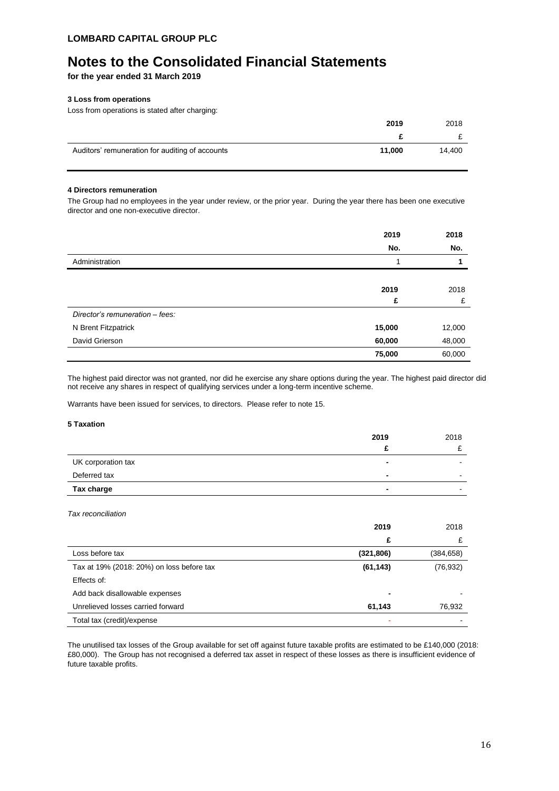**for the year ended 31 March 2019**

# **3 Loss from operations**

Loss from operations is stated after charging:

|                                                 | 2019   | 2018   |
|-------------------------------------------------|--------|--------|
|                                                 |        |        |
| Auditors' remuneration for auditing of accounts | 11.000 | 14.400 |

### **4 Directors remuneration**

The Group had no employees in the year under review, or the prior year. During the year there has been one executive director and one non-executive director.

|                                 | 2019<br>No. | 2018<br>No. |
|---------------------------------|-------------|-------------|
| Administration                  | 1           |             |
|                                 |             |             |
|                                 | 2019        | 2018        |
|                                 | £           | £           |
| Director's remuneration - fees: |             |             |
| N Brent Fitzpatrick             | 15,000      | 12,000      |
| David Grierson                  | 60,000      | 48,000      |
|                                 | 75,000      | 60,000      |

The highest paid director was not granted, nor did he exercise any share options during the year. The highest paid director did not receive any shares in respect of qualifying services under a long-term incentive scheme.

Warrants have been issued for services, to directors. Please refer to note 15.

#### **5 Taxation**

|                    | 2019 | 2018                     |
|--------------------|------|--------------------------|
|                    |      |                          |
| UK corporation tax | ۰    |                          |
| Deferred tax       | ۰    | $\overline{\phantom{a}}$ |
| Tax charge         | ۰    | -                        |

*Tax reconciliation* 

|                                           | 2019       | 2018       |
|-------------------------------------------|------------|------------|
|                                           | £          |            |
| Loss before tax                           | (321, 806) | (384, 658) |
| Tax at 19% (2018: 20%) on loss before tax | (61, 143)  | (76, 932)  |
| Effects of:                               |            |            |
| Add back disallowable expenses            |            |            |
| Unrelieved losses carried forward         | 61,143     | 76,932     |
| Total tax (credit)/expense                |            |            |

The unutilised tax losses of the Group available for set off against future taxable profits are estimated to be £140,000 (2018: £80,000). The Group has not recognised a deferred tax asset in respect of these losses as there is insufficient evidence of future taxable profits.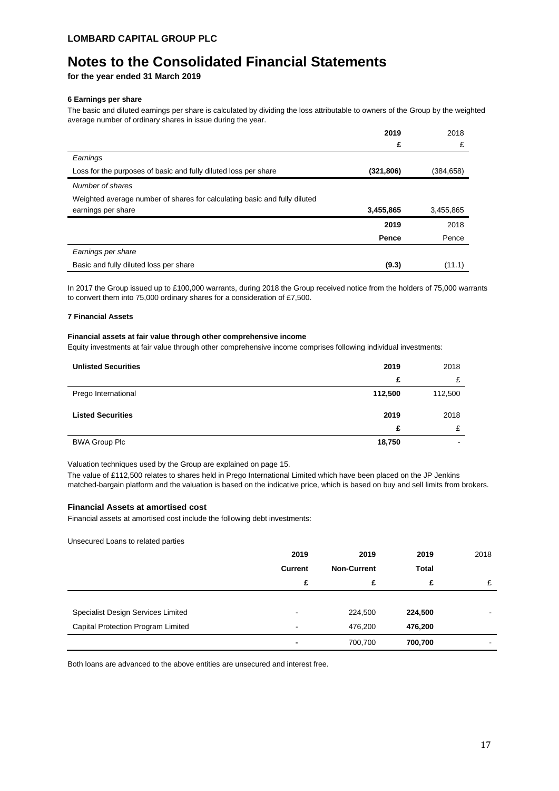**for the year ended 31 March 2019**

# **6 Earnings per share**

The basic and diluted earnings per share is calculated by dividing the loss attributable to owners of the Group by the weighted average number of ordinary shares in issue during the year.

|                                                                           | 2019       | 2018      |
|---------------------------------------------------------------------------|------------|-----------|
|                                                                           | £          | £         |
| Earnings                                                                  |            |           |
| Loss for the purposes of basic and fully diluted loss per share           | (321, 806) | (384,658) |
| Number of shares                                                          |            |           |
| Weighted average number of shares for calculating basic and fully diluted |            |           |
| earnings per share                                                        | 3,455,865  | 3,455,865 |
|                                                                           | 2019       | 2018      |
|                                                                           | Pence      | Pence     |
| Earnings per share                                                        |            |           |
| Basic and fully diluted loss per share                                    | (9.3)      | (11.1)    |

In 2017 the Group issued up to £100,000 warrants, during 2018 the Group received notice from the holders of 75,000 warrants to convert them into 75,000 ordinary shares for a consideration of £7,500.

# **7 Financial Assets**

### **Financial assets at fair value through other comprehensive income**

Equity investments at fair value through other comprehensive income comprises following individual investments:

| <b>Unlisted Securities</b> | 2019    | 2018    |
|----------------------------|---------|---------|
|                            | £       | £       |
| Prego International        | 112,500 | 112,500 |
| <b>Listed Securities</b>   | 2019    | 2018    |
|                            | £       | £       |
| <b>BWA Group Plc</b>       | 18,750  | $\,$    |

Valuation techniques used by the Group are explained on page 15.

The value of £112,500 relates to shares held in Prego International Limited which have been placed on the JP Jenkins matched-bargain platform and the valuation is based on the indicative price, which is based on buy and sell limits from brokers.

#### **Financial Assets at amortised cost**

Financial assets at amortised cost include the following debt investments:

Unsecured Loans to related parties

|                                           | 2019<br><b>Current</b> | 2019<br><b>Non-Current</b> | 2019<br><b>Total</b> | 2018 |
|-------------------------------------------|------------------------|----------------------------|----------------------|------|
|                                           | £                      | £                          | £                    | £    |
|                                           |                        |                            |                      |      |
| <b>Specialist Design Services Limited</b> | $\,$                   | 224,500                    | 224,500              |      |
| Capital Protection Program Limited        | $\blacksquare$         | 476,200                    | 476,200              |      |
|                                           |                        | 700,700                    | 700,700              |      |

Both loans are advanced to the above entities are unsecured and interest free.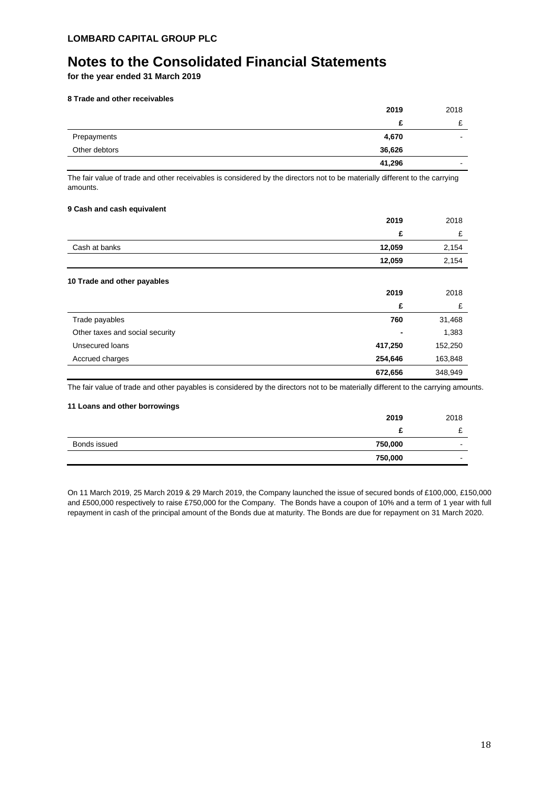**for the year ended 31 March 2019**

# **8 Trade and other receivables**

|               | 2019   | 2018 |
|---------------|--------|------|
|               | £      |      |
| Prepayments   | 4,670  |      |
| Other debtors | 36,626 |      |
|               | 41,296 |      |

The fair value of trade and other receivables is considered by the directors not to be materially different to the carrying amounts.

# **9 Cash and cash equivalent**

|                                 | 2019    | 2018    |
|---------------------------------|---------|---------|
|                                 | £       | £       |
| Cash at banks                   | 12,059  | 2,154   |
|                                 | 12,059  | 2,154   |
| 10 Trade and other payables     |         |         |
|                                 | 2019    | 2018    |
|                                 | £       | £       |
| Trade payables                  | 760     | 31,468  |
| Other taxes and social security | ٠       | 1,383   |
| Unsecured loans                 | 417,250 | 152,250 |
| Accrued charges                 | 254,646 | 163,848 |
|                                 | 672,656 | 348,949 |

The fair value of trade and other payables is considered by the directors not to be materially different to the carrying amounts.

# **11 Loans and other borrowings**

|              | 2019    | 2018 |
|--------------|---------|------|
|              |         |      |
| Bonds issued | 750,000 |      |
|              | 750,000 | -    |

On 11 March 2019, 25 March 2019 & 29 March 2019, the Company launched the issue of secured bonds of £100,000, £150,000 and £500,000 respectively to raise £750,000 for the Company. The Bonds have a coupon of 10% and a term of 1 year with full repayment in cash of the principal amount of the Bonds due at maturity. The Bonds are due for repayment on 31 March 2020.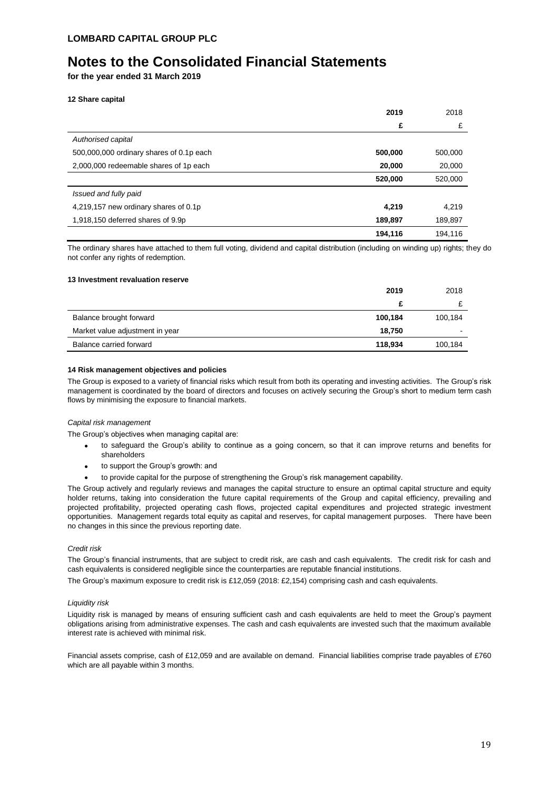**for the year ended 31 March 2019**

# **12 Share capital**

|                                          | 2019    | 2018    |
|------------------------------------------|---------|---------|
|                                          | £       | £       |
| Authorised capital                       |         |         |
| 500,000,000 ordinary shares of 0.1p each | 500,000 | 500,000 |
| 2,000,000 redeemable shares of 1p each   | 20,000  | 20,000  |
|                                          | 520,000 | 520,000 |
| Issued and fully paid                    |         |         |
| 4,219,157 new ordinary shares of 0.1p    | 4,219   | 4,219   |
| 1,918,150 deferred shares of 9.9p        | 189,897 | 189,897 |
|                                          | 194,116 | 194.116 |

The ordinary shares have attached to them full voting, dividend and capital distribution (including on winding up) rights; they do not confer any rights of redemption.

#### **13 Investment revaluation reserve**

|                                 | 2019    | 2018    |
|---------------------------------|---------|---------|
|                                 | £       |         |
| Balance brought forward         | 100,184 | 100.184 |
| Market value adjustment in year | 18.750  | -       |
| Balance carried forward         | 118,934 | 100,184 |
|                                 |         |         |

# **14 Risk management objectives and policies**

The Group is exposed to a variety of financial risks which result from both its operating and investing activities. The Group's risk management is coordinated by the board of directors and focuses on actively securing the Group's short to medium term cash flows by minimising the exposure to financial markets.

#### *Capital risk management*

The Group's objectives when managing capital are:

- to safeguard the Group's ability to continue as a going concern, so that it can improve returns and benefits for shareholders
- to support the Group's growth: and
- to provide capital for the purpose of strengthening the Group's risk management capability.

The Group actively and regularly reviews and manages the capital structure to ensure an optimal capital structure and equity holder returns, taking into consideration the future capital requirements of the Group and capital efficiency, prevailing and projected profitability, projected operating cash flows, projected capital expenditures and projected strategic investment opportunities. Management regards total equity as capital and reserves, for capital management purposes. There have been no changes in this since the previous reporting date.

# *Credit risk*

The Group's financial instruments, that are subject to credit risk, are cash and cash equivalents. The credit risk for cash and cash equivalents is considered negligible since the counterparties are reputable financial institutions.

The Group's maximum exposure to credit risk is £12,059 (2018: £2,154) comprising cash and cash equivalents.

# *Liquidity risk*

Liquidity risk is managed by means of ensuring sufficient cash and cash equivalents are held to meet the Group's payment obligations arising from administrative expenses. The cash and cash equivalents are invested such that the maximum available interest rate is achieved with minimal risk.

Financial assets comprise, cash of £12,059 and are available on demand. Financial liabilities comprise trade payables of £760 which are all payable within 3 months.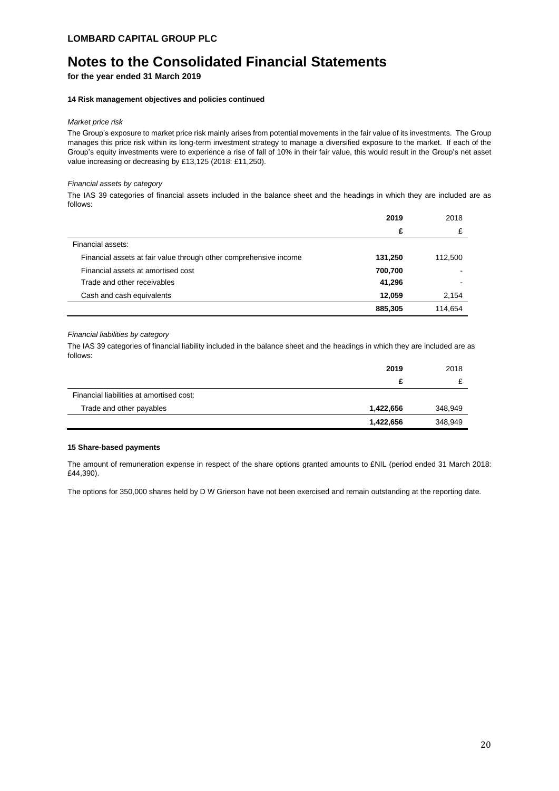**for the year ended 31 March 2019**

# **14 Risk management objectives and policies continued**

# *Market price risk*

The Group's exposure to market price risk mainly arises from potential movements in the fair value of its investments. The Group manages this price risk within its long-term investment strategy to manage a diversified exposure to the market. If each of the Group's equity investments were to experience a rise of fall of 10% in their fair value, this would result in the Group's net asset value increasing or decreasing by £13,125 (2018: £11,250).

#### *Financial assets by category*

The IAS 39 categories of financial assets included in the balance sheet and the headings in which they are included are as follows:

|                                                                   | 2019    | 2018    |
|-------------------------------------------------------------------|---------|---------|
|                                                                   | £       | £       |
| Financial assets:                                                 |         |         |
| Financial assets at fair value through other comprehensive income | 131,250 | 112.500 |
| Financial assets at amortised cost                                | 700,700 |         |
| Trade and other receivables                                       | 41,296  |         |
| Cash and cash equivalents                                         | 12.059  | 2.154   |
|                                                                   | 885.305 | 114.654 |

# *Financial liabilities by category*

The IAS 39 categories of financial liability included in the balance sheet and the headings in which they are included are as follows:

|                                          | 2019      | 2018    |
|------------------------------------------|-----------|---------|
|                                          | £         | ¢       |
| Financial liabilities at amortised cost: |           |         |
| Trade and other payables                 | 1,422,656 | 348,949 |
|                                          | 1,422,656 | 348,949 |

### **15 Share-based payments**

The amount of remuneration expense in respect of the share options granted amounts to £NIL (period ended 31 March 2018: £44,390).

The options for 350,000 shares held by D W Grierson have not been exercised and remain outstanding at the reporting date.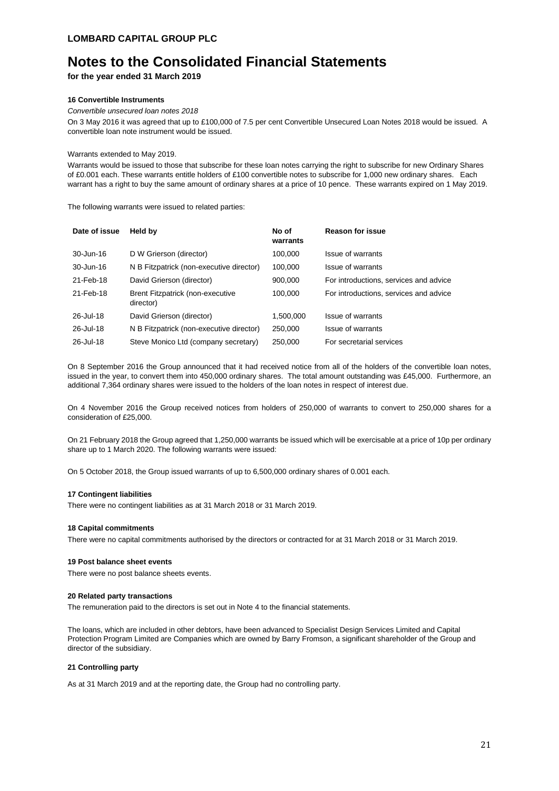**for the year ended 31 March 2019**

# **16 Convertible Instruments**

*Convertible unsecured loan notes 2018*

On 3 May 2016 it was agreed that up to £100,000 of 7.5 per cent Convertible Unsecured Loan Notes 2018 would be issued. A convertible loan note instrument would be issued.

#### Warrants extended to May 2019.

Warrants would be issued to those that subscribe for these loan notes carrying the right to subscribe for new Ordinary Shares of £0.001 each. These warrants entitle holders of £100 convertible notes to subscribe for 1,000 new ordinary shares. Each warrant has a right to buy the same amount of ordinary shares at a price of 10 pence. These warrants expired on 1 May 2019.

The following warrants were issued to related parties:

| Date of issue | Held by                                       | No of<br>warrants | <b>Reason for issue</b>                |
|---------------|-----------------------------------------------|-------------------|----------------------------------------|
| 30-Jun-16     | D W Grierson (director)                       | 100,000           | Issue of warrants                      |
| 30-Jun-16     | N B Fitzpatrick (non-executive director)      | 100,000           | Issue of warrants                      |
| 21-Feb-18     | David Grierson (director)                     | 900,000           | For introductions, services and advice |
| 21-Feb-18     | Brent Fitzpatrick (non-executive<br>director) | 100,000           | For introductions, services and advice |
| 26-Jul-18     | David Grierson (director)                     | 1,500,000         | Issue of warrants                      |
| 26-Jul-18     | N B Fitzpatrick (non-executive director)      | 250,000           | Issue of warrants                      |
| 26-Jul-18     | Steve Monico Ltd (company secretary)          | 250,000           | For secretarial services               |

On 8 September 2016 the Group announced that it had received notice from all of the holders of the convertible loan notes, issued in the year, to convert them into 450,000 ordinary shares. The total amount outstanding was £45,000. Furthermore, an additional 7,364 ordinary shares were issued to the holders of the loan notes in respect of interest due.

On 4 November 2016 the Group received notices from holders of 250,000 of warrants to convert to 250,000 shares for a consideration of £25,000.

On 21 February 2018 the Group agreed that 1,250,000 warrants be issued which will be exercisable at a price of 10p per ordinary share up to 1 March 2020. The following warrants were issued:

On 5 October 2018, the Group issued warrants of up to 6,500,000 ordinary shares of 0.001 each.

#### **17 Contingent liabilities**

There were no contingent liabilities as at 31 March 2018 or 31 March 2019.

# **18 Capital commitments**

There were no capital commitments authorised by the directors or contracted for at 31 March 2018 or 31 March 2019.

### **19 Post balance sheet events**

There were no post balance sheets events.

#### **20 Related party transactions**

The remuneration paid to the directors is set out in Note 4 to the financial statements.

The loans, which are included in other debtors, have been advanced to Specialist Design Services Limited and Capital Protection Program Limited are Companies which are owned by Barry Fromson, a significant shareholder of the Group and director of the subsidiary.

#### **21 Controlling party**

As at 31 March 2019 and at the reporting date, the Group had no controlling party.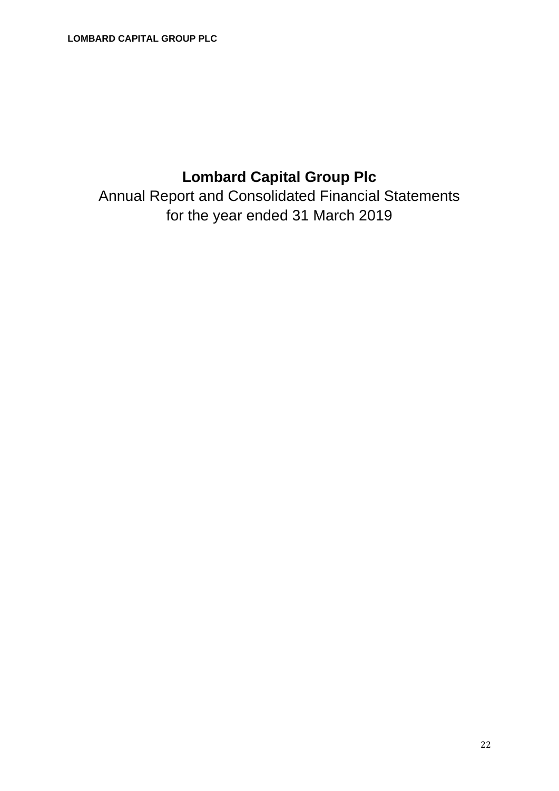# **Lombard Capital Group Plc**

Annual Report and Consolidated Financial Statements for the year ended 31 March 2019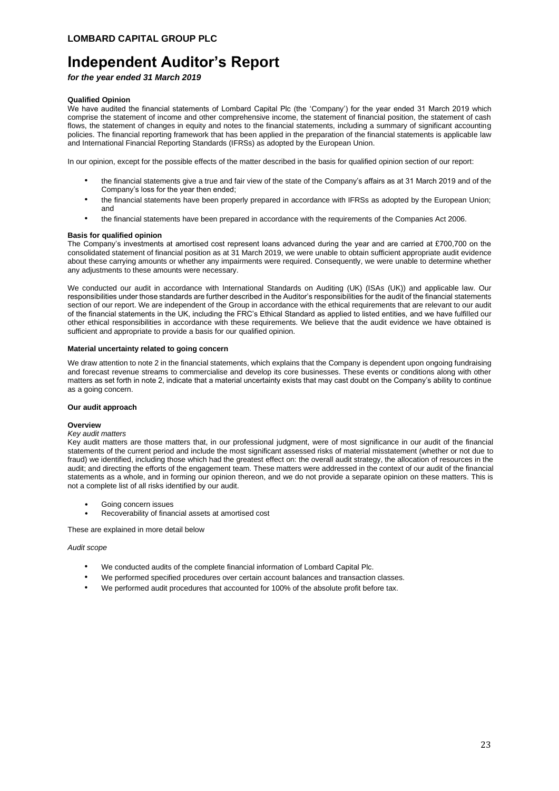*for the year ended 31 March 2019*

# **Qualified Opinion**

We have audited the financial statements of Lombard Capital Plc (the 'Company') for the year ended 31 March 2019 which comprise the statement of income and other comprehensive income, the statement of financial position, the statement of cash flows, the statement of changes in equity and notes to the financial statements, including a summary of significant accounting policies. The financial reporting framework that has been applied in the preparation of the financial statements is applicable law and International Financial Reporting Standards (IFRSs) as adopted by the European Union.

In our opinion, except for the possible effects of the matter described in the basis for qualified opinion section of our report:

- the financial statements give a true and fair view of the state of the Company's affairs as at 31 March 2019 and of the Company's loss for the year then ended;
- the financial statements have been properly prepared in accordance with IFRSs as adopted by the European Union; and
- the financial statements have been prepared in accordance with the requirements of the Companies Act 2006.

# **Basis for qualified opinion**

The Company's investments at amortised cost represent loans advanced during the year and are carried at £700,700 on the consolidated statement of financial position as at 31 March 2019, we were unable to obtain sufficient appropriate audit evidence about these carrying amounts or whether any impairments were required. Consequently, we were unable to determine whether any adjustments to these amounts were necessary.

We conducted our audit in accordance with International Standards on Auditing (UK) (ISAs (UK)) and applicable law. Our responsibilities under those standards are further described in the Auditor's responsibilities for the audit of the financial statements section of our report. We are independent of the Group in accordance with the ethical requirements that are relevant to our audit of the financial statements in the UK, including the FRC's Ethical Standard as applied to listed entities, and we have fulfilled our other ethical responsibilities in accordance with these requirements. We believe that the audit evidence we have obtained is sufficient and appropriate to provide a basis for our qualified opinion.

#### **Material uncertainty related to going concern**

We draw attention to note 2 in the financial statements, which explains that the Company is dependent upon ongoing fundraising and forecast revenue streams to commercialise and develop its core businesses. These events or conditions along with other matters as set forth in note 2, indicate that a material uncertainty exists that may cast doubt on the Company's ability to continue as a going concern.

### **Our audit approach**

### **Overview**

### *Key audit matters*

Key audit matters are those matters that, in our professional judgment, were of most significance in our audit of the financial statements of the current period and include the most significant assessed risks of material misstatement (whether or not due to fraud) we identified, including those which had the greatest effect on: the overall audit strategy, the allocation of resources in the audit; and directing the efforts of the engagement team. These matters were addressed in the context of our audit of the financial statements as a whole, and in forming our opinion thereon, and we do not provide a separate opinion on these matters. This is not a complete list of all risks identified by our audit.

- Going concern issues
- Recoverability of financial assets at amortised cost

These are explained in more detail below

# *Audit scope*

- We conducted audits of the complete financial information of Lombard Capital Plc.
- We performed specified procedures over certain account balances and transaction classes.
- We performed audit procedures that accounted for 100% of the absolute profit before tax.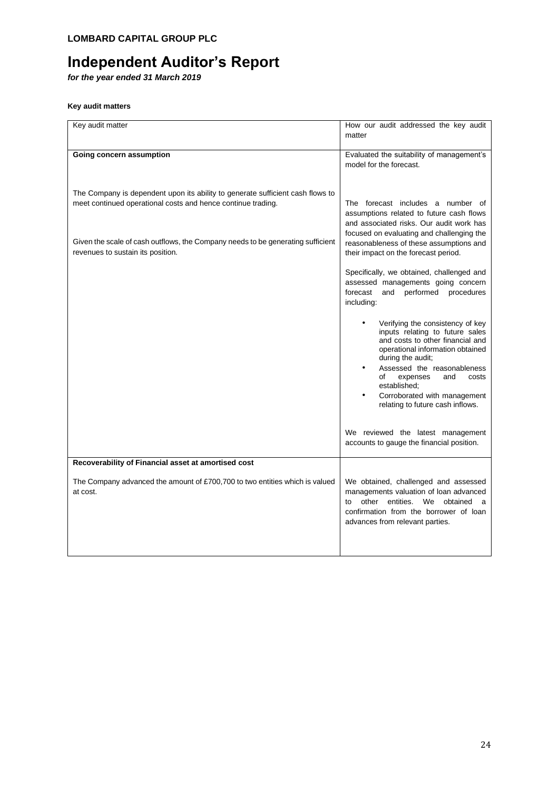*for the year ended 31 March 2019*

**Key audit matters**

| Key audit matter                                                                                                                               | How our audit addressed the key audit<br>matter                                                                                                                                                                                                                                                                                    |
|------------------------------------------------------------------------------------------------------------------------------------------------|------------------------------------------------------------------------------------------------------------------------------------------------------------------------------------------------------------------------------------------------------------------------------------------------------------------------------------|
| Going concern assumption                                                                                                                       | Evaluated the suitability of management's<br>model for the forecast.                                                                                                                                                                                                                                                               |
| The Company is dependent upon its ability to generate sufficient cash flows to<br>meet continued operational costs and hence continue trading. | The forecast includes a number of<br>assumptions related to future cash flows<br>and associated risks. Our audit work has<br>focused on evaluating and challenging the                                                                                                                                                             |
| Given the scale of cash outflows, the Company needs to be generating sufficient<br>revenues to sustain its position.                           | reasonableness of these assumptions and<br>their impact on the forecast period.                                                                                                                                                                                                                                                    |
|                                                                                                                                                | Specifically, we obtained, challenged and<br>assessed managements going concern<br>performed procedures<br>forecast<br>and<br>including:                                                                                                                                                                                           |
|                                                                                                                                                | Verifying the consistency of key<br>inputs relating to future sales<br>and costs to other financial and<br>operational information obtained<br>during the audit;<br>Assessed the reasonableness<br>$\bullet$<br>of<br>expenses<br>and<br>costs<br>established;<br>Corroborated with management<br>relating to future cash inflows. |
|                                                                                                                                                | We reviewed the latest management<br>accounts to gauge the financial position.                                                                                                                                                                                                                                                     |
| Recoverability of Financial asset at amortised cost                                                                                            |                                                                                                                                                                                                                                                                                                                                    |
| The Company advanced the amount of £700,700 to two entities which is valued<br>at cost.                                                        | We obtained, challenged and assessed<br>managements valuation of loan advanced<br>other entities. We obtained a<br>to<br>confirmation from the borrower of loan<br>advances from relevant parties.                                                                                                                                 |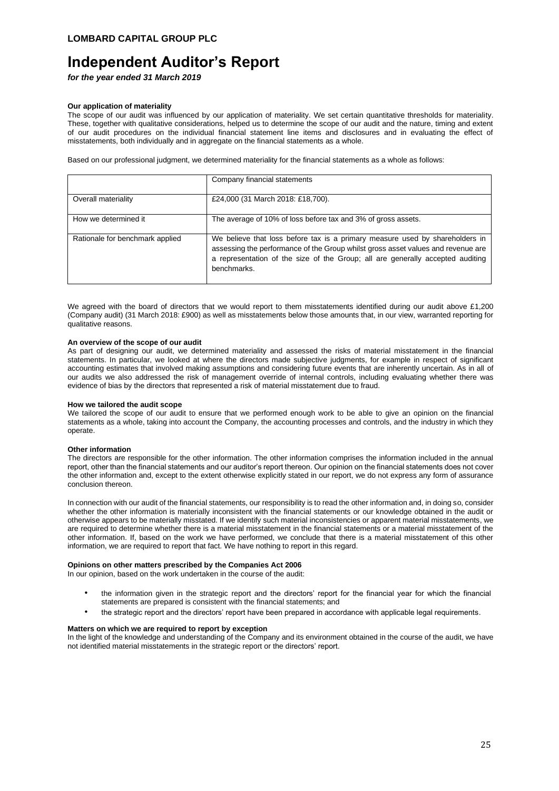*for the year ended 31 March 2019*

### **Our application of materiality**

The scope of our audit was influenced by our application of materiality. We set certain quantitative thresholds for materiality. These, together with qualitative considerations, helped us to determine the scope of our audit and the nature, timing and extent of our audit procedures on the individual financial statement line items and disclosures and in evaluating the effect of misstatements, both individually and in aggregate on the financial statements as a whole.

Based on our professional judgment, we determined materiality for the financial statements as a whole as follows:

|                                 | Company financial statements                                                                                                                                                                                                                                      |
|---------------------------------|-------------------------------------------------------------------------------------------------------------------------------------------------------------------------------------------------------------------------------------------------------------------|
|                                 |                                                                                                                                                                                                                                                                   |
| Overall materiality             | £24,000 (31 March 2018: £18,700).                                                                                                                                                                                                                                 |
| How we determined it            | The average of 10% of loss before tax and 3% of gross assets.                                                                                                                                                                                                     |
| Rationale for benchmark applied | We believe that loss before tax is a primary measure used by shareholders in<br>assessing the performance of the Group whilst gross asset values and revenue are<br>a representation of the size of the Group; all are generally accepted auditing<br>benchmarks. |

We agreed with the board of directors that we would report to them misstatements identified during our audit above £1,200 (Company audit) (31 March 2018: £900) as well as misstatements below those amounts that, in our view, warranted reporting for qualitative reasons.

#### **An overview of the scope of our audit**

As part of designing our audit, we determined materiality and assessed the risks of material misstatement in the financial statements. In particular, we looked at where the directors made subjective judgments, for example in respect of significant accounting estimates that involved making assumptions and considering future events that are inherently uncertain. As in all of our audits we also addressed the risk of management override of internal controls, including evaluating whether there was evidence of bias by the directors that represented a risk of material misstatement due to fraud.

#### **How we tailored the audit scope**

We tailored the scope of our audit to ensure that we performed enough work to be able to give an opinion on the financial statements as a whole, taking into account the Company, the accounting processes and controls, and the industry in which they operate.

#### **Other information**

The directors are responsible for the other information. The other information comprises the information included in the annual report, other than the financial statements and our auditor's report thereon. Our opinion on the financial statements does not cover the other information and, except to the extent otherwise explicitly stated in our report, we do not express any form of assurance conclusion thereon.

In connection with our audit of the financial statements, our responsibility is to read the other information and, in doing so, consider whether the other information is materially inconsistent with the financial statements or our knowledge obtained in the audit or otherwise appears to be materially misstated. If we identify such material inconsistencies or apparent material misstatements, we are required to determine whether there is a material misstatement in the financial statements or a material misstatement of the other information. If, based on the work we have performed, we conclude that there is a material misstatement of this other information, we are required to report that fact. We have nothing to report in this regard.

### **Opinions on other matters prescribed by the Companies Act 2006**

In our opinion, based on the work undertaken in the course of the audit:

- the information given in the strategic report and the directors' report for the financial year for which the financial statements are prepared is consistent with the financial statements; and
- the strategic report and the directors' report have been prepared in accordance with applicable legal requirements.

#### **Matters on which we are required to report by exception**

In the light of the knowledge and understanding of the Company and its environment obtained in the course of the audit, we have not identified material misstatements in the strategic report or the directors' report.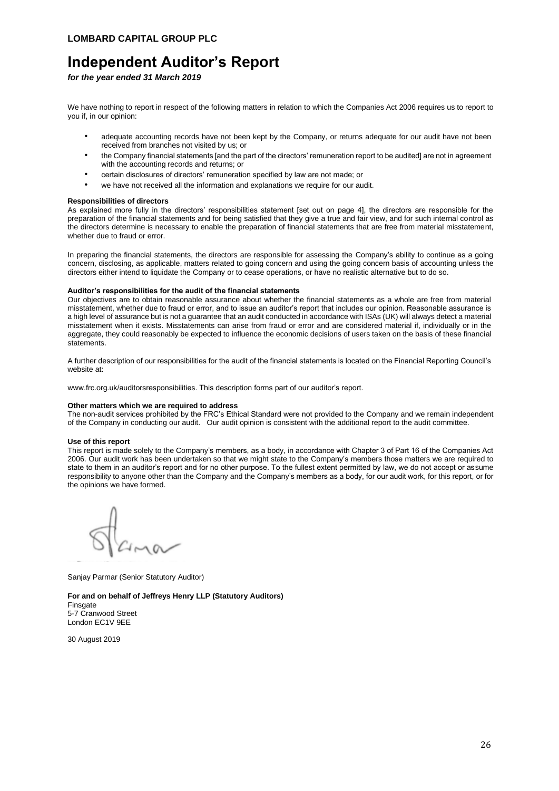*for the year ended 31 March 2019*

We have nothing to report in respect of the following matters in relation to which the Companies Act 2006 requires us to report to you if, in our opinion:

- adequate accounting records have not been kept by the Company, or returns adequate for our audit have not been received from branches not visited by us; or
- the Company financial statements [and the part of the directors' remuneration report to be audited] are not in agreement with the accounting records and returns; or
- certain disclosures of directors' remuneration specified by law are not made; or
- we have not received all the information and explanations we require for our audit.

### **Responsibilities of directors**

As explained more fully in the directors' responsibilities statement [set out on page 4], the directors are responsible for the preparation of the financial statements and for being satisfied that they give a true and fair view, and for such internal control as the directors determine is necessary to enable the preparation of financial statements that are free from material misstatement, whether due to fraud or error.

In preparing the financial statements, the directors are responsible for assessing the Company's ability to continue as a going concern, disclosing, as applicable, matters related to going concern and using the going concern basis of accounting unless the directors either intend to liquidate the Company or to cease operations, or have no realistic alternative but to do so.

# **Auditor's responsibilities for the audit of the financial statements**

Our objectives are to obtain reasonable assurance about whether the financial statements as a whole are free from material misstatement, whether due to fraud or error, and to issue an auditor's report that includes our opinion. Reasonable assurance is a high level of assurance but is not a guarantee that an audit conducted in accordance with ISAs (UK) will always detect a material misstatement when it exists. Misstatements can arise from fraud or error and are considered material if, individually or in the aggregate, they could reasonably be expected to influence the economic decisions of users taken on the basis of these financial statements.

A further description of our responsibilities for the audit of the financial statements is located on the Financial Reporting Council's website at:

www.frc.org.uk/auditorsresponsibilities. This description forms part of our auditor's report.

#### **Other matters which we are required to address**

The non-audit services prohibited by the FRC's Ethical Standard were not provided to the Company and we remain independent of the Company in conducting our audit. Our audit opinion is consistent with the additional report to the audit committee.

#### **Use of this report**

This report is made solely to the Company's members, as a body, in accordance with Chapter 3 of Part 16 of the Companies Act 2006. Our audit work has been undertaken so that we might state to the Company's members those matters we are required to state to them in an auditor's report and for no other purpose. To the fullest extent permitted by law, we do not accept or assume responsibility to anyone other than the Company and the Company's members as a body, for our audit work, for this report, or for the opinions we have formed.

Sanjay Parmar (Senior Statutory Auditor)

**For and on behalf of Jeffreys Henry LLP (Statutory Auditors)** Finsgate 5-7 Cranwood Street London EC1V 9EE

30 August 2019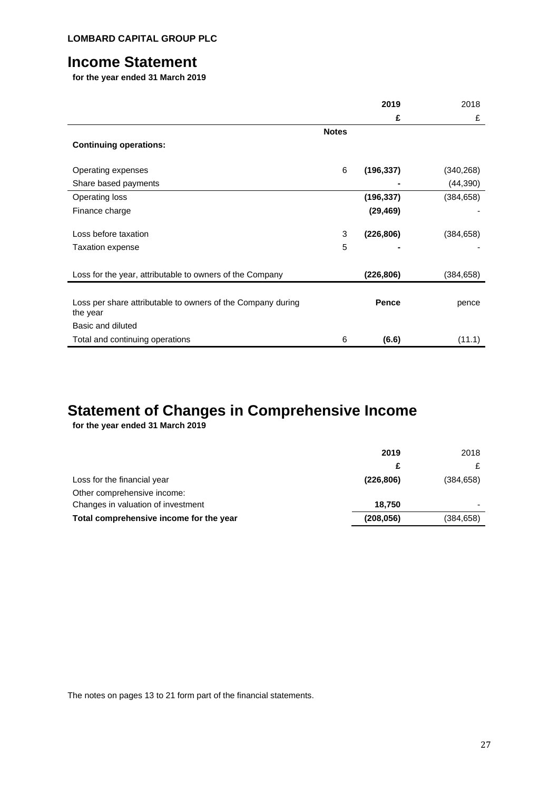# **Income Statement**

**for the year ended 31 March 2019**

|                                                                         |              | 2019         | 2018       |
|-------------------------------------------------------------------------|--------------|--------------|------------|
|                                                                         |              | £            | £          |
|                                                                         | <b>Notes</b> |              |            |
| <b>Continuing operations:</b>                                           |              |              |            |
|                                                                         |              |              |            |
| Operating expenses                                                      | 6            | (196, 337)   | (340, 268) |
| Share based payments                                                    |              |              | (44, 390)  |
| Operating loss                                                          |              | (196, 337)   | (384, 658) |
| Finance charge                                                          |              | (29, 469)    |            |
|                                                                         |              |              |            |
| Loss before taxation                                                    | 3            | (226, 806)   | (384, 658) |
| Taxation expense                                                        | 5            |              |            |
|                                                                         |              |              |            |
| Loss for the year, attributable to owners of the Company                |              | (226, 806)   | (384,658)  |
|                                                                         |              |              |            |
| Loss per share attributable to owners of the Company during<br>the year |              | <b>Pence</b> | pence      |
| Basic and diluted                                                       |              |              |            |
| Total and continuing operations                                         | 6            | (6.6)        | (11.1)     |

# **Statement of Changes in Comprehensive Income**

**for the year ended 31 March 2019**

|                                         | 2019       | 2018       |
|-----------------------------------------|------------|------------|
|                                         |            |            |
| Loss for the financial year             | (226, 806) | (384, 658) |
| Other comprehensive income:             |            |            |
| Changes in valuation of investment      | 18.750     |            |
| Total comprehensive income for the year | (208, 056) | (384, 658) |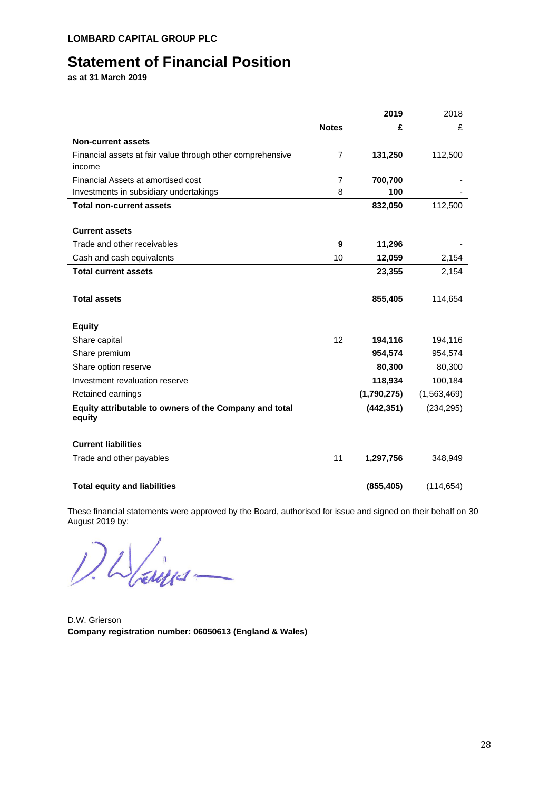# **Statement of Financial Position**

**as at 31 March 2019**

|                                                                  |                | 2019        | 2018        |
|------------------------------------------------------------------|----------------|-------------|-------------|
|                                                                  | <b>Notes</b>   | £           | £           |
| <b>Non-current assets</b>                                        |                |             |             |
| Financial assets at fair value through other comprehensive       | $\overline{7}$ | 131,250     | 112,500     |
| income                                                           |                |             |             |
| Financial Assets at amortised cost                               | $\overline{7}$ | 700,700     |             |
| Investments in subsidiary undertakings                           | 8              | 100         |             |
| <b>Total non-current assets</b>                                  |                | 832,050     | 112,500     |
| <b>Current assets</b>                                            |                |             |             |
|                                                                  |                |             |             |
| Trade and other receivables                                      | 9              | 11,296      |             |
| Cash and cash equivalents                                        | 10             | 12,059      | 2,154       |
| <b>Total current assets</b>                                      |                | 23,355      | 2,154       |
| <b>Total assets</b>                                              |                | 855,405     | 114,654     |
|                                                                  |                |             |             |
| <b>Equity</b>                                                    |                |             |             |
| Share capital                                                    | 12             | 194,116     | 194,116     |
| Share premium                                                    |                | 954,574     | 954,574     |
| Share option reserve                                             |                | 80,300      | 80,300      |
| Investment revaluation reserve                                   |                | 118,934     | 100,184     |
| Retained earnings                                                |                | (1,790,275) | (1,563,469) |
| Equity attributable to owners of the Company and total<br>equity |                | (442, 351)  | (234, 295)  |
|                                                                  |                |             |             |
| <b>Current liabilities</b>                                       |                |             |             |
| Trade and other payables                                         | 11             | 1,297,756   | 348,949     |
|                                                                  |                |             |             |
| <b>Total equity and liabilities</b>                              |                | (855, 405)  | (114, 654)  |

These financial statements were approved by the Board, authorised for issue and signed on their behalf on 30 August 2019 by:

Lains -

D.W. Grierson **Company registration number: 06050613 (England & Wales)**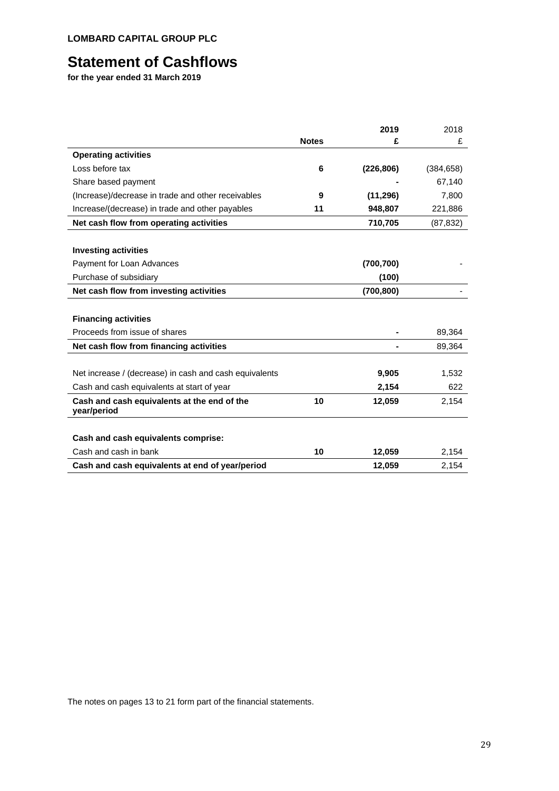# **Statement of Cashflows**

**for the year ended 31 March 2019**

|                                                            |              | 2019       | 2018       |
|------------------------------------------------------------|--------------|------------|------------|
|                                                            | <b>Notes</b> | £          | £          |
| <b>Operating activities</b>                                |              |            |            |
| Loss before tax                                            | 6            | (226, 806) | (384, 658) |
| Share based payment                                        |              |            | 67,140     |
| (Increase)/decrease in trade and other receivables         | 9            | (11, 296)  | 7,800      |
| Increase/(decrease) in trade and other payables            | 11           | 948,807    | 221,886    |
| Net cash flow from operating activities                    |              | 710,705    | (87, 832)  |
|                                                            |              |            |            |
| <b>Investing activities</b>                                |              |            |            |
| Payment for Loan Advances                                  |              | (700, 700) |            |
| Purchase of subsidiary                                     |              | (100)      |            |
| Net cash flow from investing activities                    |              | (700, 800) |            |
|                                                            |              |            |            |
| <b>Financing activities</b>                                |              |            |            |
| Proceeds from issue of shares                              |              |            | 89,364     |
| Net cash flow from financing activities                    |              |            | 89,364     |
|                                                            |              |            |            |
| Net increase / (decrease) in cash and cash equivalents     |              | 9,905      | 1,532      |
| Cash and cash equivalents at start of year                 |              | 2,154      | 622        |
| Cash and cash equivalents at the end of the<br>year/period | 10           | 12,059     | 2,154      |
|                                                            |              |            |            |
| Cash and cash equivalents comprise:                        |              |            |            |
| Cash and cash in bank                                      | 10           | 12,059     | 2,154      |
| Cash and cash equivalents at end of year/period            |              | 12,059     | 2,154      |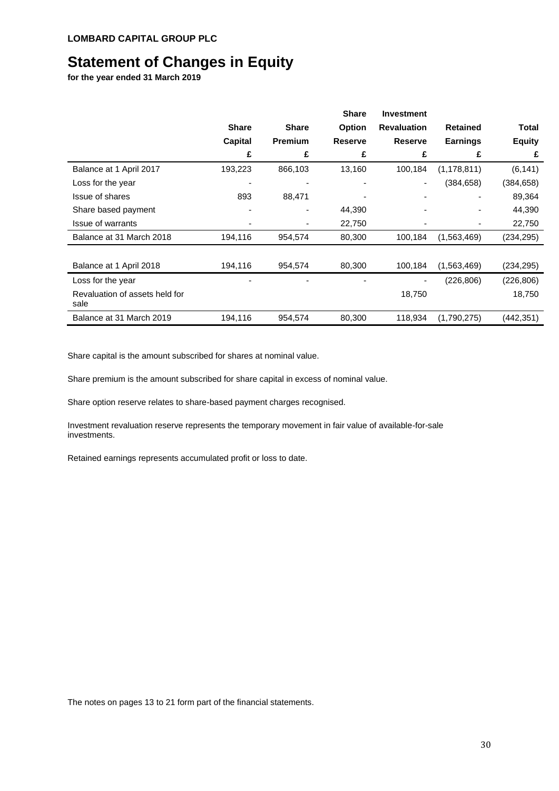# **Statement of Changes in Equity**

**for the year ended 31 March 2019**

|                                        |              |                | <b>Share</b>   | <b>Investment</b>  |                 |               |
|----------------------------------------|--------------|----------------|----------------|--------------------|-----------------|---------------|
|                                        | <b>Share</b> | <b>Share</b>   | <b>Option</b>  | <b>Revaluation</b> | <b>Retained</b> | Total         |
|                                        | Capital      | <b>Premium</b> | <b>Reserve</b> | <b>Reserve</b>     | <b>Earnings</b> | <b>Equity</b> |
|                                        | £            | £              | £              | £                  | £               | £             |
| Balance at 1 April 2017                | 193,223      | 866,103        | 13,160         | 100,184            | (1, 178, 811)   | (6, 141)      |
| Loss for the year                      |              |                |                |                    | (384, 658)      | (384, 658)    |
| Issue of shares                        | 893          | 88,471         |                |                    |                 | 89,364        |
| Share based payment                    |              |                | 44,390         |                    | $\blacksquare$  | 44,390        |
| Issue of warrants                      |              |                | 22,750         |                    |                 | 22,750        |
| Balance at 31 March 2018               | 194,116      | 954,574        | 80,300         | 100,184            | (1,563,469)     | (234, 295)    |
|                                        |              |                |                |                    |                 |               |
| Balance at 1 April 2018                | 194,116      | 954,574        | 80,300         | 100,184            | (1,563,469)     | (234,295)     |
| Loss for the year                      |              |                |                |                    | (226, 806)      | (226, 806)    |
| Revaluation of assets held for<br>sale |              |                |                | 18,750             |                 | 18,750        |
| Balance at 31 March 2019               | 194,116      | 954,574        | 80,300         | 118,934            | (1,790,275)     | (442,351)     |

Share capital is the amount subscribed for shares at nominal value.

Share premium is the amount subscribed for share capital in excess of nominal value.

Share option reserve relates to share-based payment charges recognised.

Investment revaluation reserve represents the temporary movement in fair value of available-for-sale investments.

Retained earnings represents accumulated profit or loss to date.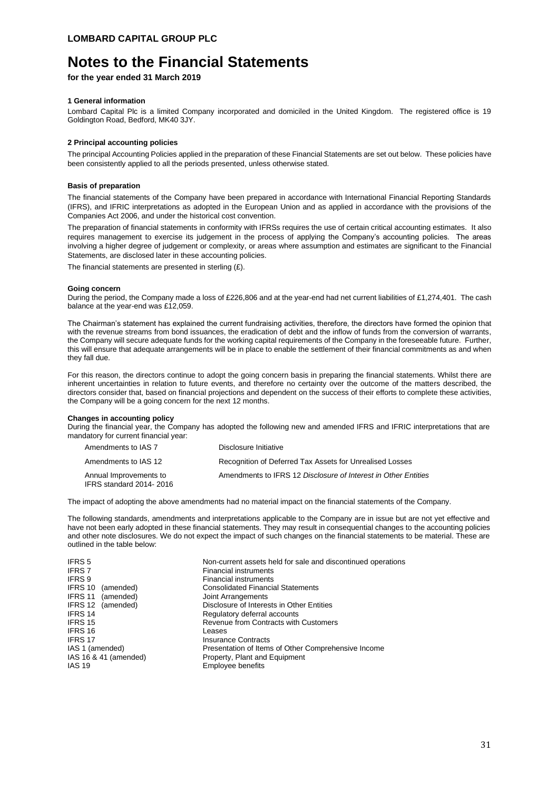**for the year ended 31 March 2019**

# **1 General information**

Lombard Capital Plc is a limited Company incorporated and domiciled in the United Kingdom. The registered office is 19 Goldington Road, Bedford, MK40 3JY.

### **2 Principal accounting policies**

The principal Accounting Policies applied in the preparation of these Financial Statements are set out below. These policies have been consistently applied to all the periods presented, unless otherwise stated.

### **Basis of preparation**

The financial statements of the Company have been prepared in accordance with International Financial Reporting Standards (IFRS), and IFRIC interpretations as adopted in the European Union and as applied in accordance with the provisions of the Companies Act 2006, and under the historical cost convention.

The preparation of financial statements in conformity with IFRSs requires the use of certain critical accounting estimates. It also requires management to exercise its judgement in the process of applying the Company's accounting policies. The areas involving a higher degree of judgement or complexity, or areas where assumption and estimates are significant to the Financial Statements, are disclosed later in these accounting policies.

The financial statements are presented in sterling  $(E)$ .

# **Going concern**

During the period, the Company made a loss of £226,806 and at the year-end had net current liabilities of £1,274,401. The cash balance at the year-end was £12,059.

The Chairman's statement has explained the current fundraising activities, therefore, the directors have formed the opinion that with the revenue streams from bond issuances, the eradication of debt and the inflow of funds from the conversion of warrants, the Company will secure adequate funds for the working capital requirements of the Company in the foreseeable future. Further, this will ensure that adequate arrangements will be in place to enable the settlement of their financial commitments as and when they fall due.

For this reason, the directors continue to adopt the going concern basis in preparing the financial statements. Whilst there are inherent uncertainties in relation to future events, and therefore no certainty over the outcome of the matters described, the directors consider that, based on financial projections and dependent on the success of their efforts to complete these activities, the Company will be a going concern for the next 12 months.

#### **Changes in accounting policy**

During the financial year, the Company has adopted the following new and amended IFRS and IFRIC interpretations that are mandatory for current financial year:

| Amendments to IAS 7                               | Disclosure Initiative                                          |
|---------------------------------------------------|----------------------------------------------------------------|
| Amendments to IAS 12                              | Recognition of Deferred Tax Assets for Unrealised Losses       |
| Annual Improvements to<br>IFRS standard 2014-2016 | Amendments to IFRS 12 Disclosure of Interest in Other Entities |

The impact of adopting the above amendments had no material impact on the financial statements of the Company.

The following standards, amendments and interpretations applicable to the Company are in issue but are not yet effective and have not been early adopted in these financial statements. They may result in consequential changes to the accounting policies and other note disclosures. We do not expect the impact of such changes on the financial statements to be material. These are outlined in the table below:

| IFRS <sub>5</sub>     | Non-current assets held for sale and discontinued operations |
|-----------------------|--------------------------------------------------------------|
| <b>IFRS7</b>          | <b>Financial instruments</b>                                 |
| IFRS 9                | <b>Financial instruments</b>                                 |
| IFRS 10 (amended)     | <b>Consolidated Financial Statements</b>                     |
| IFRS 11<br>(amended)  | Joint Arrangements                                           |
| IFRS 12 (amended)     | Disclosure of Interests in Other Entities                    |
| IFRS 14               | Regulatory deferral accounts                                 |
| IFRS 15               | Revenue from Contracts with Customers                        |
| IFRS 16               | Leases                                                       |
| IFRS 17               | Insurance Contracts                                          |
| IAS 1 (amended)       | Presentation of Items of Other Comprehensive Income          |
| IAS 16 & 41 (amended) | Property, Plant and Equipment                                |
| <b>IAS 19</b>         | Employee benefits                                            |
|                       |                                                              |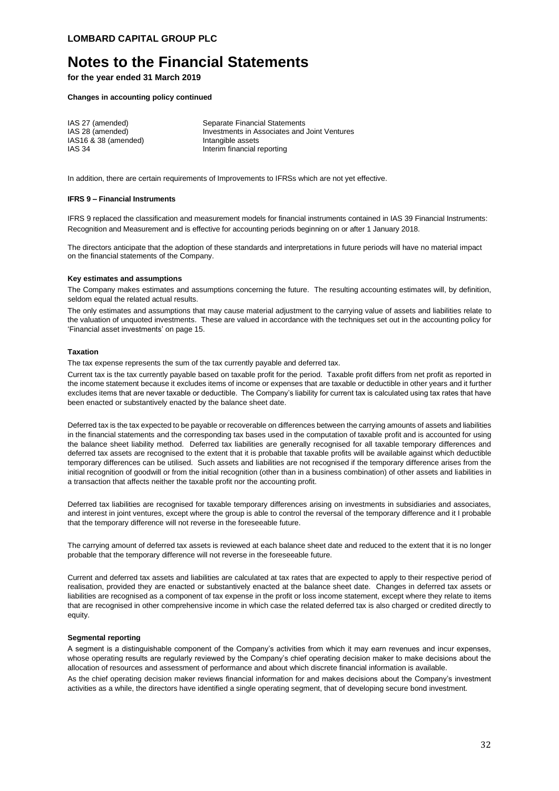**for the year ended 31 March 2019**

**Changes in accounting policy continued**

 $IAS16$  & 38 (amended)<br> $IAS34$ 

IAS 27 (amended) Separate Financial Statements Investments in Associates and Joint Ventures<br>Intangible assets Interim financial reporting

In addition, there are certain requirements of Improvements to IFRSs which are not yet effective.

### **IFRS 9 – Financial Instruments**

IFRS 9 replaced the classification and measurement models for financial instruments contained in IAS 39 Financial Instruments: Recognition and Measurement and is effective for accounting periods beginning on or after 1 January 2018.

The directors anticipate that the adoption of these standards and interpretations in future periods will have no material impact on the financial statements of the Company.

# **Key estimates and assumptions**

The Company makes estimates and assumptions concerning the future. The resulting accounting estimates will, by definition, seldom equal the related actual results.

The only estimates and assumptions that may cause material adjustment to the carrying value of assets and liabilities relate to the valuation of unquoted investments. These are valued in accordance with the techniques set out in the accounting policy for 'Financial asset investments' on page 15.

# **Taxation**

The tax expense represents the sum of the tax currently payable and deferred tax.

Current tax is the tax currently payable based on taxable profit for the period. Taxable profit differs from net profit as reported in the income statement because it excludes items of income or expenses that are taxable or deductible in other years and it further excludes items that are never taxable or deductible. The Company's liability for current tax is calculated using tax rates that have been enacted or substantively enacted by the balance sheet date.

Deferred tax is the tax expected to be payable or recoverable on differences between the carrying amounts of assets and liabilities in the financial statements and the corresponding tax bases used in the computation of taxable profit and is accounted for using the balance sheet liability method. Deferred tax liabilities are generally recognised for all taxable temporary differences and deferred tax assets are recognised to the extent that it is probable that taxable profits will be available against which deductible temporary differences can be utilised. Such assets and liabilities are not recognised if the temporary difference arises from the initial recognition of goodwill or from the initial recognition (other than in a business combination) of other assets and liabilities in a transaction that affects neither the taxable profit nor the accounting profit.

Deferred tax liabilities are recognised for taxable temporary differences arising on investments in subsidiaries and associates, and interest in joint ventures, except where the group is able to control the reversal of the temporary difference and it I probable that the temporary difference will not reverse in the foreseeable future.

The carrying amount of deferred tax assets is reviewed at each balance sheet date and reduced to the extent that it is no longer probable that the temporary difference will not reverse in the foreseeable future.

Current and deferred tax assets and liabilities are calculated at tax rates that are expected to apply to their respective period of realisation, provided they are enacted or substantively enacted at the balance sheet date. Changes in deferred tax assets or liabilities are recognised as a component of tax expense in the profit or loss income statement, except where they relate to items that are recognised in other comprehensive income in which case the related deferred tax is also charged or credited directly to equity.

#### **Segmental reporting**

A segment is a distinguishable component of the Company's activities from which it may earn revenues and incur expenses, whose operating results are regularly reviewed by the Company's chief operating decision maker to make decisions about the allocation of resources and assessment of performance and about which discrete financial information is available.

As the chief operating decision maker reviews financial information for and makes decisions about the Company's investment activities as a while, the directors have identified a single operating segment, that of developing secure bond investment.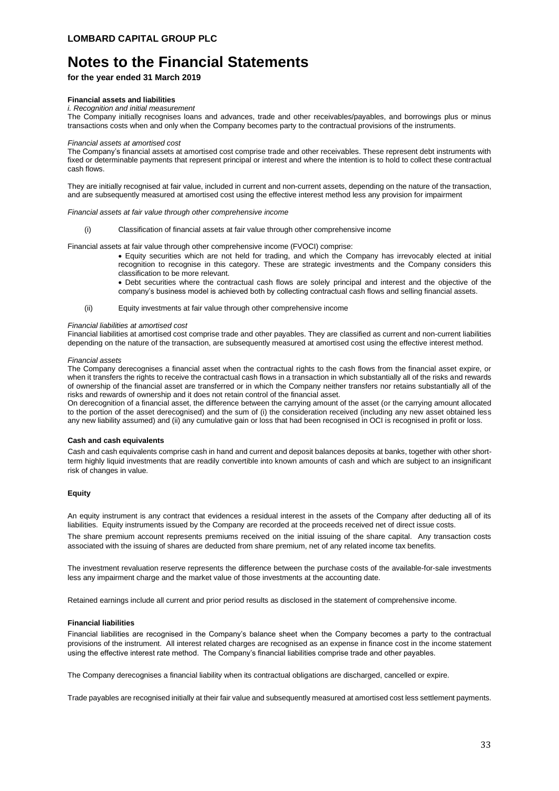**for the year ended 31 March 2019**

# **Financial assets and liabilities**

*i. Recognition and initial measurement*

The Company initially recognises loans and advances, trade and other receivables/payables, and borrowings plus or minus transactions costs when and only when the Company becomes party to the contractual provisions of the instruments.

#### *Financial assets at amortised cost*

The Company's financial assets at amortised cost comprise trade and other receivables. These represent debt instruments with fixed or determinable payments that represent principal or interest and where the intention is to hold to collect these contractual cash flows.

They are initially recognised at fair value, included in current and non-current assets, depending on the nature of the transaction, and are subsequently measured at amortised cost using the effective interest method less any provision for impairment

*Financial assets at fair value through other comprehensive income*

(i) Classification of financial assets at fair value through other comprehensive income

Financial assets at fair value through other comprehensive income (FVOCI) comprise:

- Equity securities which are not held for trading, and which the Company has irrevocably elected at initial recognition to recognise in this category. These are strategic investments and the Company considers this classification to be more relevant.
- Debt securities where the contractual cash flows are solely principal and interest and the objective of the company's business model is achieved both by collecting contractual cash flows and selling financial assets.
- (ii) Equity investments at fair value through other comprehensive income

#### *Financial liabilities at amortised cost*

Financial liabilities at amortised cost comprise trade and other payables. They are classified as current and non-current liabilities depending on the nature of the transaction, are subsequently measured at amortised cost using the effective interest method.

#### *Financial assets*

The Company derecognises a financial asset when the contractual rights to the cash flows from the financial asset expire, or when it transfers the rights to receive the contractual cash flows in a transaction in which substantially all of the risks and rewards of ownership of the financial asset are transferred or in which the Company neither transfers nor retains substantially all of the risks and rewards of ownership and it does not retain control of the financial asset.

On derecognition of a financial asset, the difference between the carrying amount of the asset (or the carrying amount allocated to the portion of the asset derecognised) and the sum of (i) the consideration received (including any new asset obtained less any new liability assumed) and (ii) any cumulative gain or loss that had been recognised in OCI is recognised in profit or loss.

#### **Cash and cash equivalents**

Cash and cash equivalents comprise cash in hand and current and deposit balances deposits at banks, together with other shortterm highly liquid investments that are readily convertible into known amounts of cash and which are subject to an insignificant risk of changes in value.

### **Equity**

An equity instrument is any contract that evidences a residual interest in the assets of the Company after deducting all of its liabilities. Equity instruments issued by the Company are recorded at the proceeds received net of direct issue costs.

The share premium account represents premiums received on the initial issuing of the share capital. Any transaction costs associated with the issuing of shares are deducted from share premium, net of any related income tax benefits.

The investment revaluation reserve represents the difference between the purchase costs of the available-for-sale investments less any impairment charge and the market value of those investments at the accounting date.

Retained earnings include all current and prior period results as disclosed in the statement of comprehensive income.

#### **Financial liabilities**

Financial liabilities are recognised in the Company's balance sheet when the Company becomes a party to the contractual provisions of the instrument. All interest related charges are recognised as an expense in finance cost in the income statement using the effective interest rate method. The Company's financial liabilities comprise trade and other payables.

The Company derecognises a financial liability when its contractual obligations are discharged, cancelled or expire.

Trade payables are recognised initially at their fair value and subsequently measured at amortised cost less settlement payments.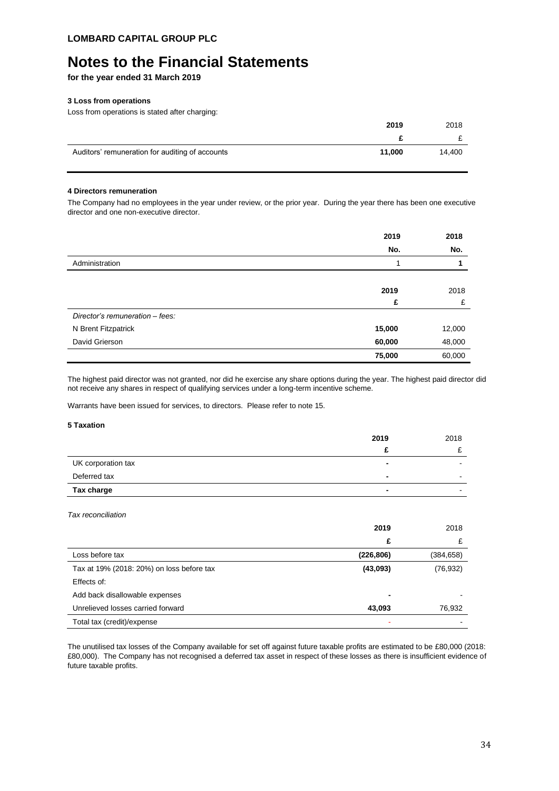**for the year ended 31 March 2019**

# **3 Loss from operations**

Loss from operations is stated after charging:

|                                                 | 2019   | 2018   |
|-------------------------------------------------|--------|--------|
|                                                 |        |        |
| Auditors' remuneration for auditing of accounts | 11.000 | 14.400 |

### **4 Directors remuneration**

The Company had no employees in the year under review, or the prior year. During the year there has been one executive director and one non-executive director.

|                                 | 2019<br>No. | 2018<br>No. |
|---------------------------------|-------------|-------------|
| Administration                  |             | 1           |
|                                 |             |             |
|                                 | 2019        | 2018        |
|                                 | £           | £           |
| Director's remuneration - fees: |             |             |
| N Brent Fitzpatrick             | 15,000      | 12,000      |
| David Grierson                  | 60,000      | 48,000      |
|                                 | 75,000      | 60,000      |

The highest paid director was not granted, nor did he exercise any share options during the year. The highest paid director did not receive any shares in respect of qualifying services under a long-term incentive scheme.

Warrants have been issued for services, to directors. Please refer to note 15.

# **5 Taxation**

|                    | 2019 | 2018 |
|--------------------|------|------|
|                    |      |      |
| UK corporation tax | ۰    |      |
| Deferred tax       | -    |      |
| Tax charge         |      | -    |

*Tax reconciliation* 

|                                           | 2019       | 2018       |
|-------------------------------------------|------------|------------|
|                                           | £          | £          |
| Loss before tax                           | (226, 806) | (384, 658) |
| Tax at 19% (2018: 20%) on loss before tax | (43,093)   | (76, 932)  |
| Effects of:                               |            |            |
| Add back disallowable expenses            |            |            |
| Unrelieved losses carried forward         | 43,093     | 76,932     |
| Total tax (credit)/expense                |            |            |

The unutilised tax losses of the Company available for set off against future taxable profits are estimated to be £80,000 (2018: £80,000). The Company has not recognised a deferred tax asset in respect of these losses as there is insufficient evidence of future taxable profits.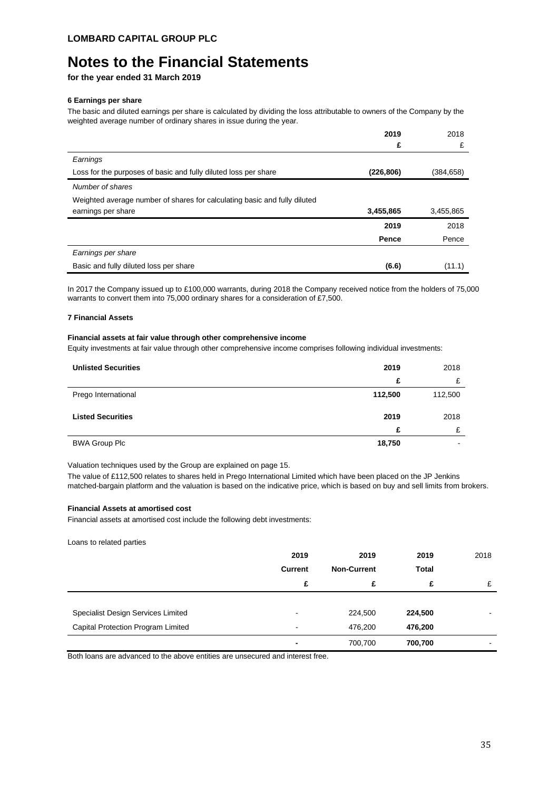**for the year ended 31 March 2019**

# **6 Earnings per share**

The basic and diluted earnings per share is calculated by dividing the loss attributable to owners of the Company by the weighted average number of ordinary shares in issue during the year.

|                                                                           | 2019       | 2018      |
|---------------------------------------------------------------------------|------------|-----------|
|                                                                           | £          | £         |
| Earnings                                                                  |            |           |
| Loss for the purposes of basic and fully diluted loss per share           | (226, 806) | (384,658) |
| Number of shares                                                          |            |           |
| Weighted average number of shares for calculating basic and fully diluted |            |           |
| earnings per share                                                        | 3,455,865  | 3,455,865 |
|                                                                           | 2019       | 2018      |
|                                                                           | Pence      | Pence     |
| Earnings per share                                                        |            |           |
| Basic and fully diluted loss per share                                    | (6.6)      | (11.1)    |

In 2017 the Company issued up to £100,000 warrants, during 2018 the Company received notice from the holders of 75,000 warrants to convert them into 75,000 ordinary shares for a consideration of £7,500.

### **7 Financial Assets**

# **Financial assets at fair value through other comprehensive income**

Equity investments at fair value through other comprehensive income comprises following individual investments:

| <b>Unlisted Securities</b> | 2019    | 2018    |
|----------------------------|---------|---------|
|                            | £       | £       |
| Prego International        | 112,500 | 112,500 |
| <b>Listed Securities</b>   | 2019    | 2018    |
|                            | £       | £       |
| <b>BWA Group Plc</b>       | 18,750  | $\,$    |

Valuation techniques used by the Group are explained on page 15.

The value of £112,500 relates to shares held in Prego International Limited which have been placed on the JP Jenkins matched-bargain platform and the valuation is based on the indicative price, which is based on buy and sell limits from brokers.

# **Financial Assets at amortised cost**

Financial assets at amortised cost include the following debt investments:

Loans to related parties

|                                           | 2019                     | 2019               | 2019         | 2018 |
|-------------------------------------------|--------------------------|--------------------|--------------|------|
|                                           | <b>Current</b>           | <b>Non-Current</b> | <b>Total</b> |      |
|                                           | £                        | £                  | £            | £    |
|                                           |                          |                    |              |      |
| <b>Specialist Design Services Limited</b> |                          | 224,500            | 224,500      |      |
| Capital Protection Program Limited        | $\overline{\phantom{a}}$ | 476,200            | 476,200      |      |
|                                           | ٠                        | 700,700            | 700,700      |      |
|                                           |                          |                    |              |      |

Both loans are advanced to the above entities are unsecured and interest free.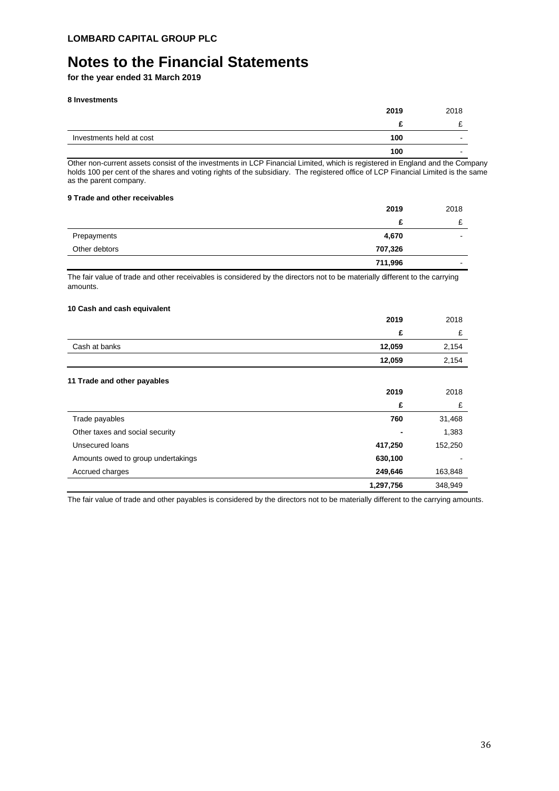**for the year ended 31 March 2019**

### **8 Investments**

|                          | 2019 | 2018                     |
|--------------------------|------|--------------------------|
|                          |      |                          |
| Investments held at cost | 100  | $\overline{\phantom{a}}$ |
|                          | 100  | $\overline{\phantom{a}}$ |

Other non-current assets consist of the investments in LCP Financial Limited, which is registered in England and the Company holds 100 per cent of the shares and voting rights of the subsidiary. The registered office of LCP Financial Limited is the same as the parent company.

#### **9 Trade and other receivables**

|               | 2019    | 2018 |
|---------------|---------|------|
|               | c       | ⌒    |
| Prepayments   | 4,670   | $\,$ |
| Other debtors | 707,326 |      |
|               | 711,996 | $\,$ |

The fair value of trade and other receivables is considered by the directors not to be materially different to the carrying amounts.

### **10 Cash and cash equivalent**

|                                    | 2019      | 2018    |
|------------------------------------|-----------|---------|
|                                    | £         | £       |
| Cash at banks                      | 12,059    | 2,154   |
|                                    | 12,059    | 2,154   |
| 11 Trade and other payables        |           |         |
|                                    | 2019      | 2018    |
|                                    | £         | £       |
| Trade payables                     | 760       | 31,468  |
| Other taxes and social security    | ٠         | 1,383   |
| Unsecured loans                    | 417,250   | 152,250 |
| Amounts owed to group undertakings | 630,100   |         |
| Accrued charges                    | 249,646   | 163,848 |
|                                    | 1,297,756 | 348,949 |

The fair value of trade and other payables is considered by the directors not to be materially different to the carrying amounts.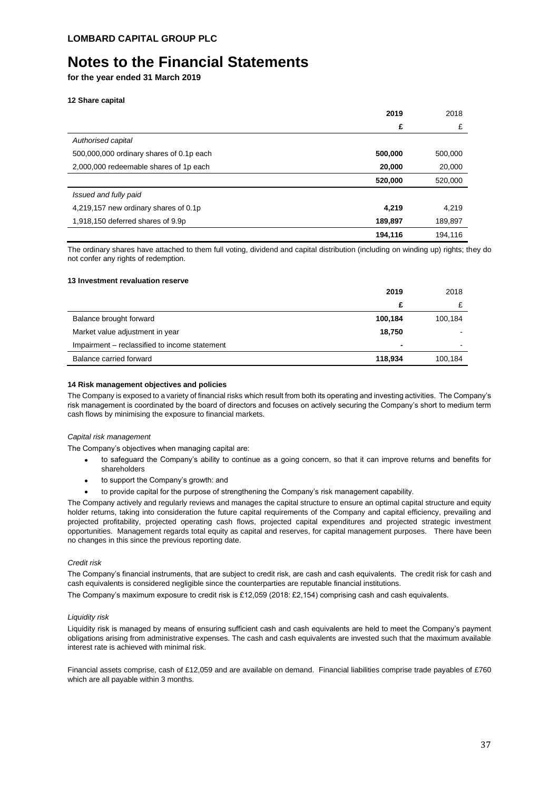**for the year ended 31 March 2019**

# **12 Share capital**

|                                          | 2019    | 2018    |
|------------------------------------------|---------|---------|
|                                          | £       | £       |
| Authorised capital                       |         |         |
| 500,000,000 ordinary shares of 0.1p each | 500,000 | 500,000 |
| 2,000,000 redeemable shares of 1p each   | 20,000  | 20,000  |
|                                          | 520,000 | 520,000 |
| Issued and fully paid                    |         |         |
| 4,219,157 new ordinary shares of 0.1p    | 4,219   | 4,219   |
| 1,918,150 deferred shares of 9.9p        | 189,897 | 189,897 |
|                                          | 194.116 | 194.116 |

The ordinary shares have attached to them full voting, dividend and capital distribution (including on winding up) rights; they do not confer any rights of redemption.

# **13 Investment revaluation reserve**

|                                               | 2019    | 2018    |
|-----------------------------------------------|---------|---------|
|                                               | £       |         |
| Balance brought forward                       | 100,184 | 100.184 |
| Market value adjustment in year               | 18.750  |         |
| Impairment – reclassified to income statement | ۰       |         |
| Balance carried forward                       | 118,934 | 100.184 |

# **14 Risk management objectives and policies**

The Company is exposed to a variety of financial risks which result from both its operating and investing activities. The Company's risk management is coordinated by the board of directors and focuses on actively securing the Company's short to medium term cash flows by minimising the exposure to financial markets.

### *Capital risk management*

The Company's objectives when managing capital are:

- to safeguard the Company's ability to continue as a going concern, so that it can improve returns and benefits for shareholders
- to support the Company's growth: and
- to provide capital for the purpose of strengthening the Company's risk management capability.

The Company actively and regularly reviews and manages the capital structure to ensure an optimal capital structure and equity holder returns, taking into consideration the future capital requirements of the Company and capital efficiency, prevailing and projected profitability, projected operating cash flows, projected capital expenditures and projected strategic investment opportunities. Management regards total equity as capital and reserves, for capital management purposes. There have been no changes in this since the previous reporting date.

#### *Credit risk*

The Company's financial instruments, that are subject to credit risk, are cash and cash equivalents. The credit risk for cash and cash equivalents is considered negligible since the counterparties are reputable financial institutions.

The Company's maximum exposure to credit risk is £12,059 (2018: £2,154) comprising cash and cash equivalents.

# *Liquidity risk*

Liquidity risk is managed by means of ensuring sufficient cash and cash equivalents are held to meet the Company's payment obligations arising from administrative expenses. The cash and cash equivalents are invested such that the maximum available interest rate is achieved with minimal risk.

Financial assets comprise, cash of £12,059 and are available on demand. Financial liabilities comprise trade payables of £760 which are all payable within 3 months.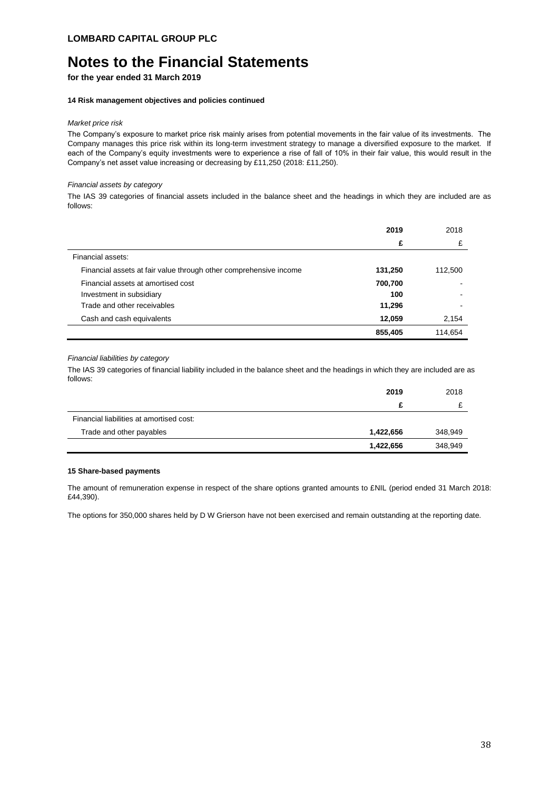**for the year ended 31 March 2019**

# **14 Risk management objectives and policies continued**

### *Market price risk*

j.

 $\overline{a}$ 

The Company's exposure to market price risk mainly arises from potential movements in the fair value of its investments. The Company manages this price risk within its long-term investment strategy to manage a diversified exposure to the market. If each of the Company's equity investments were to experience a rise of fall of 10% in their fair value, this would result in the Company's net asset value increasing or decreasing by £11,250 (2018: £11,250).

# *Financial assets by category*

The IAS 39 categories of financial assets included in the balance sheet and the headings in which they are included are as follows:

|                                                                   | 2019    | 2018    |
|-------------------------------------------------------------------|---------|---------|
|                                                                   | £       | £       |
| Financial assets:                                                 |         |         |
| Financial assets at fair value through other comprehensive income | 131,250 | 112,500 |
| Financial assets at amortised cost                                | 700,700 |         |
| Investment in subsidiary                                          | 100     |         |
| Trade and other receivables                                       | 11,296  |         |
| Cash and cash equivalents                                         | 12,059  | 2,154   |
|                                                                   | 855,405 | 114.654 |

# *Financial liabilities by category*

The IAS 39 categories of financial liability included in the balance sheet and the headings in which they are included are as follows:

|                                          | 2019      | 2018    |
|------------------------------------------|-----------|---------|
|                                          | c         |         |
| Financial liabilities at amortised cost: |           |         |
| Trade and other payables                 | 1,422,656 | 348,949 |
|                                          | 1,422,656 | 348,949 |

# **15 Share-based payments**

The amount of remuneration expense in respect of the share options granted amounts to £NIL (period ended 31 March 2018: £44,390).

The options for 350,000 shares held by D W Grierson have not been exercised and remain outstanding at the reporting date.